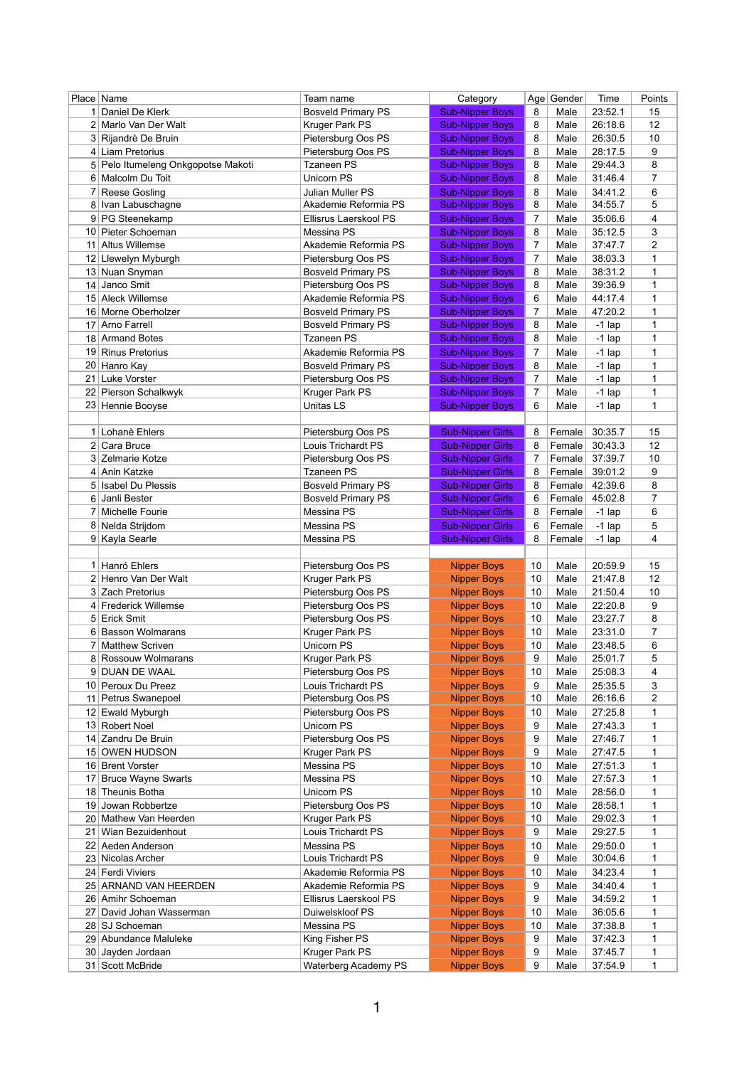|                 | Place   Name                          | Team name                                     | Category                                 |                | Age Gender   | Time                          | Points              |
|-----------------|---------------------------------------|-----------------------------------------------|------------------------------------------|----------------|--------------|-------------------------------|---------------------|
|                 | 1 Daniel De Klerk                     | <b>Bosveld Primary PS</b>                     | <b>Sub-Nipper Boys</b>                   | 8              | Male         | 23:52.1                       | 15                  |
|                 | 2 Marlo Van Der Walt                  | Kruger Park PS                                | <b>Sub-Nipper Boys</b>                   | 8              | Male         | 26:18.6                       | 12                  |
|                 | 3 Rijandrè De Bruin                   | Pietersburg Oos PS                            | <b>Sub-Nipper Boys</b>                   | 8              | Male         | 26:30.5                       | 10                  |
|                 | 4 Liam Pretorius                      | Pietersburg Oos PS                            | <b>Sub-Nipper Boys</b>                   | 8              | Male         | 28:17.5                       | 9                   |
|                 | 5 Pelo Itumeleng Onkgopotse Makoti    | <b>Tzaneen PS</b>                             | <b>Sub-Nipper Boys</b>                   | 8              | Male         | 29:44.3                       | 8                   |
|                 | 6 Malcolm Du Toit                     | <b>Unicorn PS</b>                             | <b>Sub-Nipper Boys</b>                   | 8              | Male         | 31:46.4                       | 7                   |
|                 | <b>Reese Gosling</b>                  | <b>Julian Muller PS</b>                       | <b>Sub-Nipper Boys</b>                   | 8              | Male         | 34:41.2                       | 6                   |
|                 | 8 Ivan Labuschagne                    | Akademie Reformia PS                          | <b>Sub-Nipper Boys</b>                   | 8              | Male         | 34:55.7                       | 5                   |
|                 | 9 PG Steenekamp                       | Ellisrus Laerskool PS                         | <b>Sub-Nipper Boys</b>                   | $\overline{7}$ | Male         | 35:06.6                       | 4                   |
| 10 <sup>1</sup> | Pieter Schoeman                       | Messina PS                                    | <b>Sub-Nipper Boys</b>                   | 8              | Male         | 35:12.5                       | 3                   |
|                 | 11 Altus Willemse                     | Akademie Reformia PS                          | <b>Sub-Nipper Boys</b>                   | 7              | Male         | 37:47.7                       | 2                   |
| 12              | Llewelyn Myburgh                      | Pietersburg Oos PS                            | <b>Sub-Nipper Boys</b>                   | $\overline{7}$ | Male         | 38:03.3                       | 1                   |
|                 | 13 Nuan Snyman                        | <b>Bosveld Primary PS</b>                     | <b>Sub-Nipper Boys</b>                   | 8              | Male         | 38:31.2                       | 1                   |
| 14              | Janco Smit                            | Pietersburg Oos PS                            | <b>Sub-Nipper Boys</b>                   | 8              | Male         | 39:36.9                       | 1                   |
|                 | 15 Aleck Willemse                     | Akademie Reformia PS                          | <b>Sub-Nipper Boys</b>                   | 6              | Male         | 44:17.4                       | 1                   |
|                 | 16 Morne Oberholzer                   | <b>Bosveld Primary PS</b>                     | <b>Sub-Nipper Boys</b>                   | $\overline{7}$ | Male         | 47:20.2                       | 1                   |
| 17              | <b>Arno Farrell</b>                   | <b>Bosveld Primary PS</b>                     | <b>Sub-Nipper Boys</b>                   | 8              | Male         | $-1$ lap                      | 1                   |
|                 | 18 Armand Botes                       | <b>Tzaneen PS</b>                             | <b>Sub-Nipper Boys</b>                   | 8              | Male         | $-1$ lap                      | 1                   |
|                 | 19 Rinus Pretorius                    | Akademie Reformia PS                          | <b>Sub-Nipper Boys</b>                   | $\overline{7}$ | Male         | $-1$ lap                      | 1                   |
|                 | 20 Hanro Kay                          | <b>Bosveld Primary PS</b>                     | <b>Sub-Nipper Boys</b>                   | 8              | Male         | $-1$ lap                      | 1                   |
| 21              | <b>Luke Vorster</b>                   | Pietersburg Oos PS                            | <b>Sub-Nipper Boys</b>                   | $\overline{7}$ | Male         | $-1$ lap                      | 1                   |
|                 | 22 Pierson Schalkwyk                  | Kruger Park PS                                | <b>Sub-Nipper Boys</b>                   | 7              | Male         | $-1$ lap                      | 1                   |
|                 | 23 Hennie Booyse                      | Unitas LS                                     | <b>Sub-Nipper Boys</b>                   | 6              | Male         | $-1$ lap                      | 1                   |
|                 |                                       |                                               |                                          |                |              |                               |                     |
|                 | 1 Lohanè Ehlers                       | Pietersburg Oos PS                            | <b>Sub-Nipper Girls</b>                  | 8              | Female       | 30:35.7                       | 15                  |
|                 | 2 Cara Bruce                          | Louis Trichardt PS                            | <b>Sub-Nipper Girls</b>                  | 8              | Female       | 30:43.3                       | 12                  |
|                 | 3 Zelmarie Kotze                      | Pietersburg Oos PS                            | <b>Sub-Nipper Girls</b>                  | 7              | Female       | 37:39.7                       | 10                  |
|                 | 4 Anin Katzke                         | <b>Tzaneen PS</b>                             | <b>Sub-Nipper Girls</b>                  | 8              | Female       | 39:01.2                       | 9                   |
|                 | 5 Isabel Du Plessis                   | <b>Bosveld Primary PS</b>                     | <b>Sub-Nipper Girls</b>                  | 8              | Female       | 42:39.6                       | 8                   |
|                 | 6 Janli Bester                        | <b>Bosveld Primary PS</b>                     | <b>Sub-Nipper Girls</b>                  | 6              | Female       | 45:02.8                       | $\overline{7}$      |
|                 | 7 Michelle Fourie                     | Messina PS                                    | <b>Sub-Nipper Girls</b>                  | 8              | Female       | $-1$ lap                      | 6                   |
|                 | 8 Nelda Strijdom                      | Messina PS                                    | <b>Sub-Nipper Girls</b>                  | 6              | Female       | $-1$ lap                      | 5                   |
|                 |                                       |                                               |                                          |                |              |                               |                     |
|                 | 9 Kayla Searle                        | Messina PS                                    | <b>Sub-Nipper Girls</b>                  | 8              | Female       | $-1$ lap                      | 4                   |
|                 |                                       |                                               |                                          |                |              |                               |                     |
|                 | 1 Hanró Ehlers                        | Pietersburg Oos PS                            | <b>Nipper Boys</b>                       | 10             | Male         | 20:59.9                       | 15                  |
|                 | 2 Henro Van Der Walt                  | Kruger Park PS                                | <b>Nipper Boys</b>                       | 10             | Male         | 21:47.8                       | 12                  |
|                 | 3 Zach Pretorius                      | Pietersburg Oos PS                            | <b>Nipper Boys</b>                       | 10             | Male         | 21:50.4                       | 10                  |
|                 | 4 Frederick Willemse                  | Pietersburg Oos PS                            | <b>Nipper Boys</b>                       | 10             | Male         | 22:20.8                       | 9                   |
|                 | 5 Erick Smit                          | Pietersburg Oos PS                            | <b>Nipper Boys</b>                       | 10             | Male         | 23:27.7                       | 8                   |
|                 | 6 Basson Wolmarans                    | <b>Kruger Park PS</b>                         | <b>Nipper Boys</b>                       | 10             | Male         | 23:31.0                       | 7                   |
|                 | 7 Matthew Scriven                     | Unicorn PS                                    | <b>Nipper Boys</b>                       | 10             | Male         | 23:48.5                       | 6                   |
|                 | 8 Rossouw Wolmarans                   | Kruger Park PS                                | <b>Nipper Boys</b>                       | 9              | Male         | 25:01.7                       | 5                   |
|                 | 9 DUAN DE WAAL                        | Pietersburg Oos PS                            | <b>Nipper Boys</b>                       | 10             | Male         | 25:08.3                       | 4                   |
|                 | 10 Peroux Du Preez                    | Louis Trichardt PS                            | <b>Nipper Boys</b>                       | 9              | Male         | 25:35.5                       | 3                   |
|                 | 11 Petrus Swanepoel                   | Pietersburg Oos PS                            | <b>Nipper Boys</b>                       | 10             | Male         | 26:16.6                       | 2<br>1              |
|                 | 12 Ewald Myburgh                      | Pietersburg Oos PS                            | <b>Nipper Boys</b>                       | 10<br>9        | Male         | 27:25.8                       |                     |
|                 | 13 Robert Noel<br>14 Zandru De Bruin  | Unicorn PS                                    | <b>Nipper Boys</b>                       | 9              | Male<br>Male | 27:43.3                       | 1<br>1              |
|                 | 15 OWEN HUDSON                        | Pietersburg Oos PS                            | <b>Nipper Boys</b>                       | 9              | Male         | 27:46.7<br>27:47.5            | 1                   |
|                 | 16 Brent Vorster                      | Kruger Park PS<br>Messina PS                  | <b>Nipper Boys</b><br><b>Nipper Boys</b> | 10             | Male         | 27:51.3                       | 1                   |
| 17 <sup>1</sup> | <b>Bruce Wayne Swarts</b>             | Messina PS                                    | <b>Nipper Boys</b>                       | 10             | Male         | 27:57.3                       | 1                   |
|                 | 18 Theunis Botha                      | Unicorn PS                                    | <b>Nipper Boys</b>                       | 10             | Male         | 28:56.0                       | 1                   |
| 19              | Jowan Robbertze                       | Pietersburg Oos PS                            | <b>Nipper Boys</b>                       | 10             | Male         | 28:58.1                       | 1                   |
|                 | 20 Mathew Van Heerden                 | Kruger Park PS                                | <b>Nipper Boys</b>                       | 10             | Male         | 29:02.3                       | 1                   |
| 21              | Wian Bezuidenhout                     | Louis Trichardt PS                            | <b>Nipper Boys</b>                       | 9              | Male         | 29:27.5                       | 1                   |
|                 | 22 Aeden Anderson                     | Messina PS                                    | <b>Nipper Boys</b>                       | 10             | Male         | 29:50.0                       | 1                   |
|                 | 23 Nicolas Archer                     | Louis Trichardt PS                            | <b>Nipper Boys</b>                       | 9              | Male         | 30:04.6                       | 1                   |
|                 | 24 Ferdi Viviers                      | Akademie Reformia PS                          | <b>Nipper Boys</b>                       | 10             | Male         | 34:23.4                       | 1                   |
|                 | 25 ARNAND VAN HEERDEN                 | Akademie Reformia PS                          | <b>Nipper Boys</b>                       | 9              | Male         | 34:40.4                       | 1                   |
|                 | 26 Amihr Schoeman                     | Ellisrus Laerskool PS                         | <b>Nipper Boys</b>                       | 9              | Male         | 34:59.2                       | 1                   |
| 27 <sub>1</sub> | David Johan Wasserman                 | Duiwelskloof PS                               | <b>Nipper Boys</b>                       | 10             | Male         | 36:05.6                       | 1                   |
|                 | 28 SJ Schoeman                        | Messina PS                                    | <b>Nipper Boys</b>                       | 10             | Male         | 37:38.8                       | 1                   |
|                 | 29 Abundance Maluleke                 | King Fisher PS                                | <b>Nipper Boys</b>                       | 9              | Male         | 37:42.3                       | 1                   |
|                 | 30 Jayden Jordaan<br>31 Scott McBride | Kruger Park PS<br><b>Waterberg Academy PS</b> | <b>Nipper Boys</b><br>Nipper Boys        | 9              | Male         | 37:45.7<br>9   Male   37:54.9 | 1<br>$\overline{1}$ |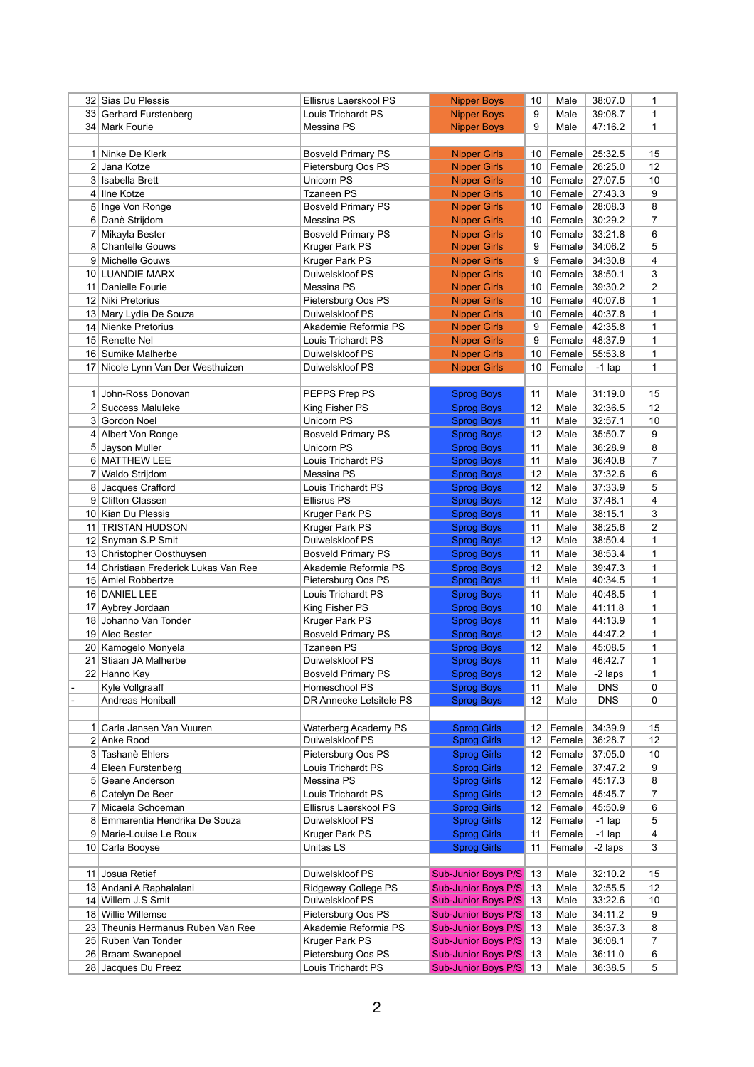|                | 32 Sias Du Plessis                    | Ellisrus Laerskool PS            | <b>Nipper Boys</b>                                                 | 10       | Male             | 38:07.0            | 1                   |
|----------------|---------------------------------------|----------------------------------|--------------------------------------------------------------------|----------|------------------|--------------------|---------------------|
|                | 33 Gerhard Furstenberg                | Louis Trichardt PS               | <b>Nipper Boys</b>                                                 | 9        | Male             | 39:08.7            | 1                   |
|                | 34 Mark Fourie                        | Messina PS                       | <b>Nipper Boys</b>                                                 | 9        | Male             | 47:16.2            | 1                   |
|                |                                       |                                  |                                                                    |          |                  |                    |                     |
|                | Ninke De Klerk                        | <b>Bosveld Primary PS</b>        | <b>Nipper Girls</b>                                                | 10       | Female           | 25:32.5            | 15                  |
|                | 2 Jana Kotze                          | Pietersburg Oos PS               | <b>Nipper Girls</b>                                                | 10       | Female           | 26:25.0            | 12                  |
|                | 3 Isabella Brett                      | Unicorn PS                       | <b>Nipper Girls</b>                                                | 10       | Female           | 27:07.5            | 10                  |
| 41             | <b>Ilne Kotze</b>                     | <b>Tzaneen PS</b>                | <b>Nipper Girls</b>                                                | 10       | Female           | 27:43.3            | 9                   |
|                | 5 Inge Von Ronge                      | <b>Bosveld Primary PS</b>        | <b>Nipper Girls</b>                                                | 10       | Female           | 28:08.3            | 8                   |
|                | 6 Danè Strijdom                       | Messina PS                       | <b>Nipper Girls</b>                                                | 10       | Female           | 30:29.2            | 7                   |
|                | Mikayla Bester                        | <b>Bosveld Primary PS</b>        | <b>Nipper Girls</b>                                                | 10       | Female           | 33:21.8            | 6                   |
|                | 8 Chantelle Gouws                     | <b>Kruger Park PS</b>            | <b>Nipper Girls</b>                                                | 9        | Female           | 34:06.2            | 5                   |
|                | 9 Michelle Gouws                      | Kruger Park PS                   | <b>Nipper Girls</b>                                                | 9        | Female           | 34:30.8            | 4                   |
|                | 10 LUANDIE MARX                       |                                  |                                                                    | 10       |                  |                    |                     |
|                | Danielle Fourie                       | Duiwelskloof PS<br>Messina PS    | <b>Nipper Girls</b><br><b>Nipper Girls</b>                         | 10       | Female           | 38:50.1<br>39:30.2 | 3<br>$\overline{c}$ |
| 11             |                                       |                                  |                                                                    |          | Female           | 40:07.6            |                     |
|                | 12 Niki Pretorius                     | Pietersburg Oos PS               | <b>Nipper Girls</b>                                                | 10       | Female           |                    | 1                   |
|                | 13 Mary Lydia De Souza                | Duiwelskloof PS                  | <b>Nipper Girls</b>                                                | 10       | Female           | 40:37.8            | 1                   |
| 14             | Nienke Pretorius                      | Akademie Reformia PS             | <b>Nipper Girls</b>                                                | 9        | Female           | 42:35.8            | 1                   |
|                | 15 Renette Nel                        | <b>Louis Trichardt PS</b>        | <b>Nipper Girls</b>                                                | 9        | Female           | 48:37.9            | 1                   |
|                | 16 Sumike Malherbe                    | Duiwelskloof PS                  | <b>Nipper Girls</b>                                                | 10       | Female           | 55:53.8            | 1                   |
|                | 17 Nicole Lynn Van Der Westhuizen     | Duiwelskloof PS                  | <b>Nipper Girls</b>                                                | 10       | Female           | $-1$ lap           | 1                   |
|                |                                       |                                  |                                                                    |          |                  |                    |                     |
|                | 1 John-Ross Donovan                   | PEPPS Prep PS                    | <b>Sprog Boys</b>                                                  | 11       | Male             | 31:19.0            | 15                  |
|                | 2 Success Maluleke                    | King Fisher PS                   | <b>Sprog Boys</b>                                                  | 12       | Male             | 32:36.5            | 12                  |
|                | 3 Gordon Noel                         | <b>Unicorn PS</b>                | <b>Sprog Boys</b>                                                  | 11       | Male             | 32:57.1            | 10                  |
|                | 4 Albert Von Ronge                    | <b>Bosveld Primary PS</b>        | <b>Sprog Boys</b>                                                  | 12       | Male             | 35:50.7            | 9                   |
|                | 5 Jayson Muller                       | <b>Unicorn PS</b>                | <b>Sprog Boys</b>                                                  | 11       | Male             | 36:28.9            | 8                   |
|                | 6 MATTHEW LEE                         | Louis Trichardt PS               | <b>Sprog Boys</b>                                                  | 11       | Male             | 36:40.8            | 7                   |
|                | 7 Waldo Strijdom                      | Messina PS                       | <b>Sprog Boys</b>                                                  | 12       | Male             | 37:32.6            | 6                   |
|                | 8 Jacques Crafford                    | Louis Trichardt PS               | <b>Sprog Boys</b>                                                  | 12       | Male             | 37:33.9            | 5                   |
|                | 9 Clifton Classen                     | Ellisrus PS                      | <b>Sprog Boys</b>                                                  | 12       | Male             | 37:48.1            | 4                   |
|                | 10 Kian Du Plessis                    | <b>Kruger Park PS</b>            | <b>Sprog Boys</b>                                                  | 11       | Male             | 38:15.1            | 3                   |
|                | 11 TRISTAN HUDSON                     | <b>Kruger Park PS</b>            | <b>Sprog Boys</b>                                                  | 11       | Male             | 38:25.6            | $\overline{2}$      |
|                | 12 Snyman S.P Smit                    | Duiwelskloof PS                  | <b>Sprog Boys</b>                                                  | 12       | Male             | 38:50.4            | 1                   |
|                | 13 Christopher Oosthuysen             | <b>Bosveld Primary PS</b>        | <b>Sprog Boys</b>                                                  | 11       | Male             | 38:53.4            | 1                   |
|                | 14 Christiaan Frederick Lukas Van Ree | Akademie Reformia PS             | <b>Sprog Boys</b>                                                  | 12       | Male             | 39:47.3            | 1                   |
|                | 15 Amiel Robbertze                    | Pietersburg Oos PS               | <b>Sprog Boys</b>                                                  | 11       | Male             | 40:34.5            | 1                   |
|                | 16 DANIEL LEE                         | Louis Trichardt PS               | <b>Sprog Boys</b>                                                  | 11       | Male             | 40:48.5            | 1                   |
|                | 17 Aybrey Jordaan                     | King Fisher PS                   | <b>Sprog Boys</b>                                                  | 10       | Male             | 41:11.8            | 1                   |
|                | 18 Johanno Van Tonder                 | Kruger Park PS                   | <b>Sprog Boys</b>                                                  | 11       | Male             | 44:13.9            | 1                   |
|                | 19 Alec Bester                        | <b>Bosveld Primary PS</b>        | <b>Sprog Boys</b>                                                  | 12       | Male             | 44:47.2            | 1                   |
|                | 20 Kamogelo Monyela                   | <b>Tzaneen PS</b>                | <b>Sprog Boys</b>                                                  | 12       | Male             | 45:08.5            | 1                   |
| 21             | Stiaan JA Malherbe                    | Duiwelskloof PS                  | <b>Sprog Boys</b>                                                  | 11       | Male             | 46:42.7            | 1                   |
|                | 22 Hanno Kay                          | <b>Bosveld Primary PS</b>        | <b>Sprog Boys</b>                                                  | 12       | Male             | -2 laps            | 1                   |
|                | Kyle Vollgraaff                       | Homeschool PS                    | <b>Sprog Boys</b>                                                  | 11       | Male             | <b>DNS</b>         | 0                   |
|                | Andreas Honiball                      | DR Annecke Letsitele PS          | <b>Sprog Boys</b>                                                  | 12       | Male             | <b>DNS</b>         | 0                   |
|                |                                       |                                  |                                                                    |          |                  |                    |                     |
| 1 <sup>1</sup> | Carla Jansen Van Vuuren               | <b>Waterberg Academy PS</b>      | <b>Sprog Girls</b>                                                 | 12       | Female           | 34:39.9            | 15                  |
|                | 2 Anke Rood                           | Duiwelskloof PS                  | <b>Sprog Girls</b>                                                 | 12       | Female           | 36:28.7            | 12                  |
|                | 3 Tashanè Ehlers                      | Pietersburg Oos PS               | <b>Sprog Girls</b>                                                 | 12       | Female           | 37:05.0            | 10                  |
|                |                                       |                                  |                                                                    |          |                  |                    |                     |
|                | Eleen Furstenberg<br>5 Geane Anderson | Louis Trichardt PS<br>Messina PS | <b>Sprog Girls</b>                                                 | 12<br>12 | Female<br>Female | 37:47.2<br>45:17.3 | 9<br>8              |
|                |                                       |                                  | <b>Sprog Girls</b>                                                 |          |                  |                    |                     |
|                | 6 Catelyn De Beer                     | Louis Trichardt PS               | <b>Sprog Girls</b>                                                 | 12       | Female           | 45:45.7            | 7                   |
|                | Micaela Schoeman                      | Ellisrus Laerskool PS            | <b>Sprog Girls</b>                                                 | 12       | Female           | 45:50.9            | 6                   |
|                | 8 Emmarentia Hendrika De Souza        | Duiwelskloof PS                  | <b>Sprog Girls</b>                                                 | 12       | Female           | $-1$ lap           | 5                   |
|                | 9 Marie-Louise Le Roux                | Kruger Park PS                   | <b>Sprog Girls</b>                                                 | 11       | Female           | $-1$ lap           | 4                   |
|                | 10 Carla Booyse                       | Unitas LS                        | <b>Sprog Girls</b>                                                 | 11       | Female           | -2 laps            | 3                   |
|                |                                       |                                  |                                                                    |          |                  |                    |                     |
|                | 11 Josua Retief                       | Duiwelskloof PS                  | <b>Sub-Junior Boys P/S</b>                                         | 13       | Male             | 32:10.2            | 15                  |
|                | 13 Andani A Raphalalani               | <b>Ridgeway College PS</b>       | <b>Sub-Junior Boys P/S</b>                                         | 13       | Male             | 32:55.5            | 12                  |
| 14             | Willem J.S Smit                       | Duiwelskloof PS                  | <b>Sub-Junior Boys P/S</b>                                         | 13       | Male             | 33:22.6            | 10                  |
|                | 18 Willie Willemse                    | Pietersburg Oos PS               | Sub-Junior Boys P/S                                                | 13       | Male             | 34:11.2            | 9                   |
|                | 23 Theunis Hermanus Ruben Van Ree     | Akademie Reformia PS             | Sub-Junior Boys P/S                                                | 13       | Male             | 35:37.3            | 8                   |
|                | 25 Ruben Van Tonder                   | <b>Kruger Park PS</b>            | Sub-Junior Boys P/S                                                | 13       | Male             | 36:08.1            | 7                   |
|                | 26 Braam Swanepoel                    | Pietersburg Oos PS               | <b>Sub-Junior Boys P/S</b>                                         | 13       | Male             | 36:11.0            | 6                   |
|                | 28 Jacques Du Preez                   | Louis Trichardt PS               | $\boxed{\text{Sub-Union Boys P/S} \mid 13}$ Male $\boxed{36:38.5}$ |          |                  |                    | $5\overline{)}$     |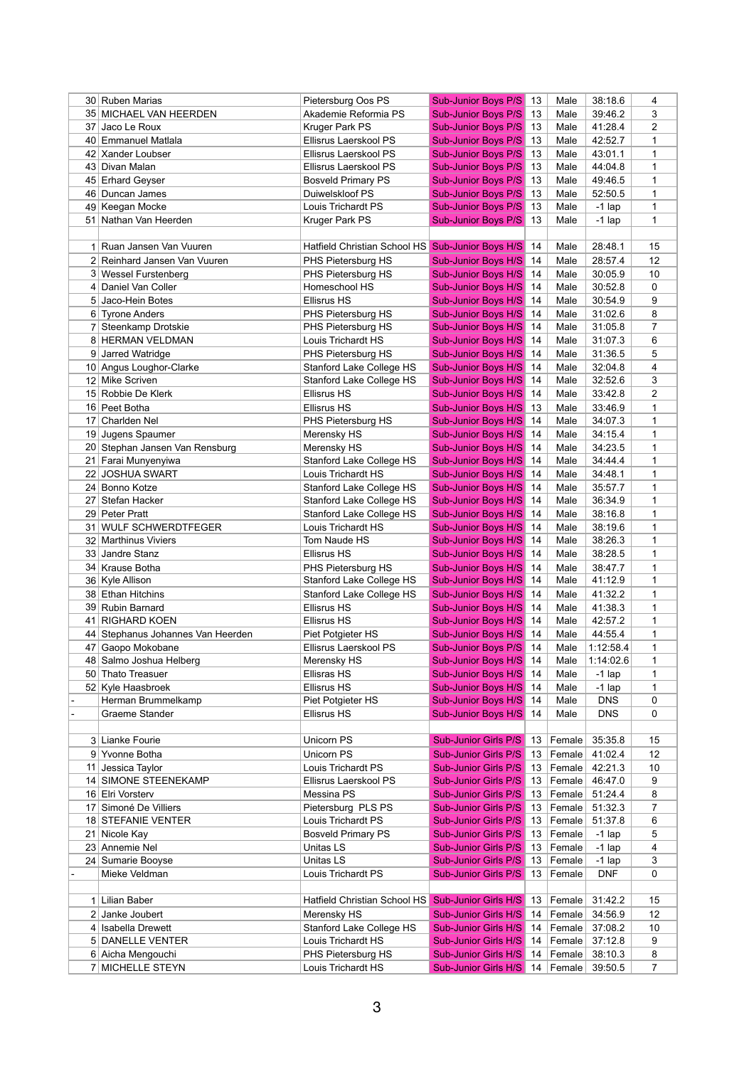|    | 30 Ruben Marias                   | Pietersburg Oos PS                                | <b>Sub-Junior Boys P/S</b>                       | 13       | Male         | 38:18.6            | 4              |
|----|-----------------------------------|---------------------------------------------------|--------------------------------------------------|----------|--------------|--------------------|----------------|
|    | 35 MICHAEL VAN HEERDEN            | Akademie Reformia PS                              | <b>Sub-Junior Boys P/S</b>                       | 13       | Male         | 39:46.2            | 3              |
| 37 | Jaco Le Roux                      | <b>Kruger Park PS</b>                             | <b>Sub-Junior Boys P/S</b>                       | 13       | Male         | 41:28.4            | 2              |
| 40 | Emmanuel Matlala                  | Ellisrus Laerskool PS                             | <b>Sub-Junior Boys P/S</b>                       | 13       | Male         | 42:52.7            | 1              |
|    | 42 Xander Loubser                 | Ellisrus Laerskool PS                             | <b>Sub-Junior Boys P/S</b>                       | 13       | Male         | 43:01.1            | 1              |
|    | 43 Divan Malan                    | Ellisrus Laerskool PS                             | <b>Sub-Junior Boys P/S</b>                       | 13       | Male         | 44:04.8            | 1              |
|    | 45 Erhard Geyser                  | <b>Bosveld Primary PS</b>                         | <b>Sub-Junior Boys P/S</b>                       | 13       | Male         | 49:46.5            | 1              |
|    | 46 Duncan James                   | Duiwelskloof PS                                   | <b>Sub-Junior Boys P/S</b>                       | 13       | Male         | 52:50.5            | 1              |
|    | 49 Keegan Mocke                   | Louis Trichardt PS                                | <b>Sub-Junior Boys P/S</b>                       | 13       | Male         | $-1$ lap           | 1              |
| 51 | Nathan Van Heerden                | Kruger Park PS                                    | <b>Sub-Junior Boys P/S</b>                       | 13       | Male         | $-1$ lap           | 1              |
|    |                                   |                                                   |                                                  |          |              |                    |                |
|    | Ruan Jansen Van Vuuren            | <b>Hatfield Christian School HS</b>               | <b>Sub-Junior Boys H/S</b>                       | 14       | Male         | 28:48.1            | 15             |
|    | 2 Reinhard Jansen Van Vuuren      | PHS Pietersburg HS                                | Sub-Junior Boys H/S                              | 14       | Male         | 28:57.4            | 12             |
|    | 3 Wessel Furstenberg              | PHS Pietersburg HS                                | Sub-Junior Boys H/S                              | 14       | Male         | 30:05.9            | 10             |
| 4  | Daniel Van Coller                 | Homeschool HS                                     | Sub-Junior Boys H/S                              | 14       | Male         | 30:52.8            | 0              |
|    | 5 Jaco-Hein Botes                 | <b>Ellisrus HS</b>                                | Sub-Junior Boys H/S                              | 14       | Male         | 30:54.9            | 9              |
|    | 6 Tyrone Anders                   | PHS Pietersburg HS                                | Sub-Junior Boys H/S                              | 14       | Male         | 31:02.6            | 8              |
|    | Steenkamp Drotskie                | PHS Pietersburg HS                                | Sub-Junior Boys H/S                              | 14       | Male         | 31:05.8            | 7              |
|    | 8 HERMAN VELDMAN                  | Louis Trichardt HS                                | <b>Sub-Junior Boys H/S</b>                       | 14       | Male         | 31:07.3            | 6              |
| 9  | Jarred Watridge                   | PHS Pietersburg HS                                | Sub-Junior Boys H/S                              | 14       | Male         | 31:36.5            | 5              |
|    | 10 Angus Loughor-Clarke           | <b>Stanford Lake College HS</b>                   | Sub-Junior Boys H/S                              | 14       | Male         | 32:04.8            | 4              |
|    | 12 Mike Scriven                   | Stanford Lake College HS                          | Sub-Junior Boys H/S                              | 14       | Male         | 32:52.6            | 3              |
|    | 15 Robbie De Klerk                | <b>Ellisrus HS</b>                                | Sub-Junior Boys H/S                              | 14       | Male         | 33:42.8            | $\overline{2}$ |
|    | 16 Peet Botha                     | <b>Ellisrus HS</b>                                | Sub-Junior Boys H/S                              | 13       | Male         | 33:46.9            | 1              |
| 17 | Charlden Nel                      | PHS Pietersburg HS                                | Sub-Junior Boys H/S                              | 14       | Male         | 34:07.3            | 1              |
|    | 19 Jugens Spaumer                 | Merensky HS                                       | Sub-Junior Boys H/S                              | 14       | Male         | 34:15.4            | 1              |
|    | 20 Stephan Jansen Van Rensburg    | Merensky HS                                       | <b>Sub-Junior Boys H/S</b>                       | 14       | Male         | 34:23.5            | 1              |
| 21 | Farai Munyenyiwa                  | Stanford Lake College HS                          | Sub-Junior Boys H/S                              | 14       | Male         | 34:44.4            | 1              |
| 22 | <b>JOSHUA SWART</b>               | Louis Trichardt HS                                | <b>Sub-Junior Boys H/S</b>                       | 14       | Male         | 34:48.1            | 1              |
|    | 24 Bonno Kotze                    | Stanford Lake College HS                          | <b>Sub-Junior Boys H/S</b>                       | 14       | Male         | 35:57.7            | 1              |
| 27 | Stefan Hacker                     | Stanford Lake College HS                          | <b>Sub-Junior Boys H/S</b>                       | 14       | Male         | 36:34.9            | 1              |
|    | 29 Peter Pratt                    | Stanford Lake College HS                          | Sub-Junior Boys H/S 14                           |          | Male         | 38:16.8            | 1              |
|    | 31 WULF SCHWERDTFEGER             | Louis Trichardt HS                                |                                                  |          |              |                    |                |
|    | 32 Marthinus Viviers              | Tom Naude HS                                      | Sub-Junior Boys H/S 14<br>Sub-Junior Boys H/S 14 |          | Male         | 38:19.6<br>38:26.3 | 1<br>1         |
|    |                                   |                                                   |                                                  |          | Male         |                    |                |
|    | 33 Jandre Stanz                   | <b>Ellisrus HS</b>                                | Sub-Junior Boys H/S 14                           |          | Male         | 38:28.5            | 1              |
|    | 34   Krause Botha                 | PHS Pietersburg HS                                | Sub-Junior Boys H/S                              | 14       | Male         | 38:47.7<br>41:12.9 | 1              |
|    | 36   Kyle Allison                 | Stanford Lake College HS                          | Sub-Junior Boys H/S                              | 14       | Male         |                    | 1              |
|    | 38 Ethan Hitchins                 | Stanford Lake College HS                          | Sub-Junior Boys H/S                              | 14       | Male         | 41:32.2            | 1              |
|    | 39 Rubin Barnard                  | <b>Ellisrus HS</b><br><b>Ellisrus HS</b>          | Sub-Junior Boys H/S                              | 14       | Male         | 41:38.3<br>42:57.2 | 1              |
|    | 41 RIGHARD KOEN                   |                                                   | Sub-Junior Boys H/S                              | 14       | Male         |                    | 1              |
|    | 44 Stephanus Johannes Van Heerden | Piet Potgieter HS                                 | Sub-Junior Boys H/S                              | -14      | Male         | 44:55.4            | 1              |
|    | 47 Gaopo Mokobane                 | Ellisrus Laerskool PS                             | Sub-Junior Boys P/S                              | 14<br>14 | Male<br>Male | 1:12:58.4          | 1<br>1         |
|    | 48 Salmo Joshua Helberg           | Merensky HS                                       | Sub-Junior Boys H/S                              |          |              | 1:14:02.6          |                |
|    | 50 Thato Treasuer                 | Ellisras HS                                       | Sub-Junior Boys H/S                              | 14       | Male         | $-1$ lap           | 1              |
|    | 52 Kyle Haasbroek                 | <b>Ellisrus HS</b>                                | Sub-Junior Boys H/S                              | 14       | Male         | $-1$ lap           | 1              |
|    | Herman Brummelkamp                | Piet Potgieter HS                                 | Sub-Junior Boys H/S                              | 14       | Male         | <b>DNS</b>         | 0              |
|    | Graeme Stander                    | <b>Ellisrus HS</b>                                | Sub-Junior Boys H/S                              | 14       | Male         | <b>DNS</b>         | 0              |
|    |                                   |                                                   |                                                  |          |              |                    |                |
|    | 3 Lianke Fourie                   | Unicorn PS                                        | <b>Sub-Junior Girls P/S</b>                      | 13       | Female       | 35:35.8            | 15             |
|    | 9 Yvonne Botha                    | Unicorn PS                                        | <b>Sub-Junior Girls P/S</b>                      | 13       | Female       | 41:02.4            | 12             |
|    | 11 Jessica Taylor                 | Louis Trichardt PS                                | <b>Sub-Junior Girls P/S</b>                      | 13       |              | Female 42:21.3     | 10             |
|    | 14 SIMONE STEENEKAMP              | Ellisrus Laerskool PS                             | <b>Sub-Junior Girls P/S</b>                      | 13       | Female       | 46:47.0            | 9              |
|    | 16 Elri Vorsterv                  | Messina PS                                        | <b>Sub-Junior Girls P/S</b>                      | 13       |              | Female 51:24.4     | 8              |
|    | 17 Simoné De Villiers             | Pietersburg PLS PS                                | <b>Sub-Junior Girls P/S</b>                      | 13       | Female       | 51:32.3            | 7              |
|    | 18 STEFANIE VENTER                | Louis Trichardt PS                                | <b>Sub-Junior Girls P/S</b>                      | 13       | Female       | 51:37.8            | 6              |
|    | 21 Nicole Kay                     | <b>Bosveld Primary PS</b>                         | <b>Sub-Junior Girls P/S</b>                      | 13       | Female       | $-1$ lap           | 5              |
|    | 23 Annemie Nel                    | Unitas LS                                         | <b>Sub-Junior Girls P/S</b>                      | 13       | Female       | $-1$ lap           | 4              |
|    | 24 Sumarie Booyse                 | Unitas LS                                         | <b>Sub-Junior Girls P/S</b>                      | 13       | Female       | $-1$ lap           | 3              |
|    | Mieke Veldman                     | Louis Trichardt PS                                | <b>Sub-Junior Girls P/S</b>                      | 13       | Female       | <b>DNF</b>         | 0              |
|    |                                   |                                                   |                                                  |          |              |                    |                |
|    | 1 Lilian Baber                    | Hatfield Christian School HS Sub-Junior Girls H/S |                                                  | 13       | Female       | 31:42.2            | 15             |
|    | 2 Janke Joubert                   | Merensky HS                                       | <b>Sub-Junior Girls H/S</b>                      | 14       | Female       | 34:56.9            | 12             |
|    | 4 Isabella Drewett                | <b>Stanford Lake College HS</b>                   | <b>Sub-Junior Girls H/S</b>                      | 14       | Female       | 37:08.2            | 10             |
|    | 5 DANELLE VENTER                  | Louis Trichardt HS                                | <b>Sub-Junior Girls H/S</b>                      | 14       |              | Female 37:12.8     | 9              |
|    | 6 Aicha Mengouchi                 | PHS Pietersburg HS                                | <b>Sub-Junior Girls H/S</b>                      | 14       |              | Female 38:10.3     | 8              |
|    | 7 MICHELLE STEYN                  | Louis Trichardt HS                                | Sub-Junior Girls H/S 14   Female   39:50.5       |          |              |                    | $\overline{7}$ |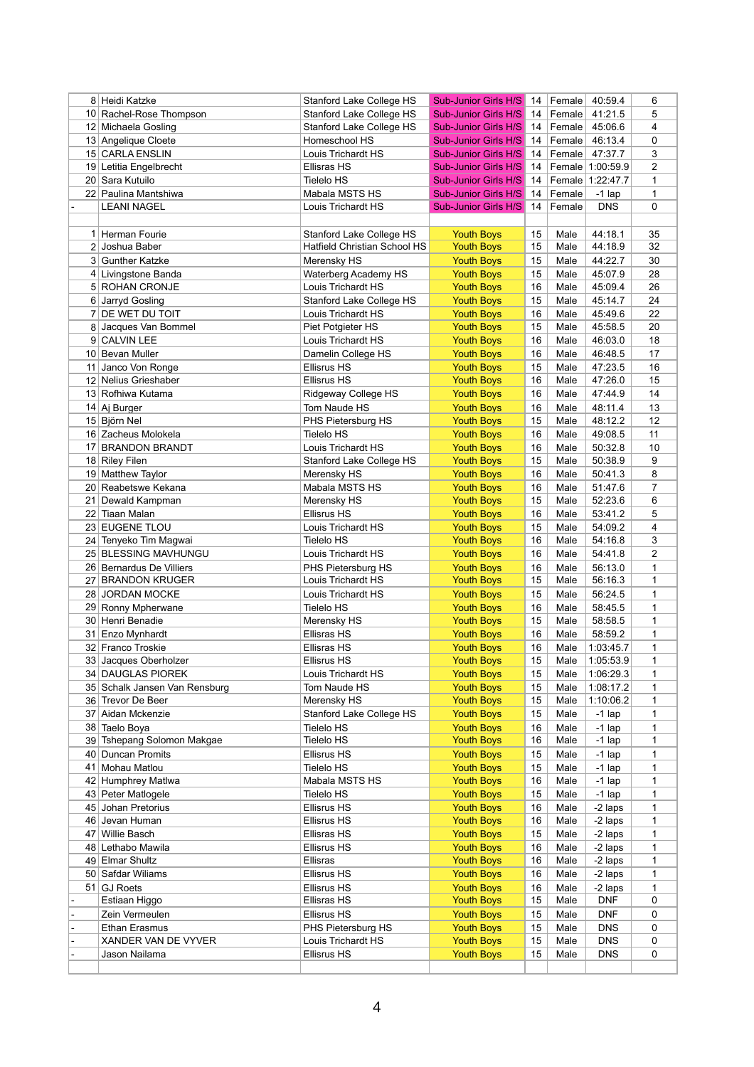|    | 8 Heidi Katzke                         | Stanford Lake College HS                | <b>Sub-Junior Girls H/S</b>            | 14       | Female       | 40:59.4            | 6              |
|----|----------------------------------------|-----------------------------------------|----------------------------------------|----------|--------------|--------------------|----------------|
|    | 10 Rachel-Rose Thompson                | <b>Stanford Lake College HS</b>         | <b>Sub-Junior Girls H/S</b>            | 14       | Female       | 41:21.5            | 5              |
|    | 12 Michaela Gosling                    | Stanford Lake College HS                | <b>Sub-Junior Girls H/S</b>            | 14       | Female       | 45:06.6            | 4              |
|    | 13 Angelique Cloete                    | Homeschool HS                           | <b>Sub-Junior Girls H/S</b>            | 14       | Female       | 46:13.4            | 0              |
|    | 15 CARLA ENSLIN                        | Louis Trichardt HS                      | <b>Sub-Junior Girls H/S</b>            | 14       | Female       | 47:37.7            | 3              |
|    | 19 Letitia Engelbrecht                 | <b>Ellisras HS</b>                      | <b>Sub-Junior Girls H/S</b>            | 14       |              | Female   1:00:59.9 | 2              |
|    | 20 Sara Kutuilo                        | <b>Tielelo HS</b>                       | <b>Sub-Junior Girls H/S</b>            | 14       |              | Female 1:22:47.7   | 1              |
|    | 22 Paulina Mantshiwa                   | Mabala MSTS HS                          | <b>Sub-Junior Girls H/S</b>            | 14       | Female       | $-1$ lap           | 1              |
|    | <b>LEANI NAGEL</b>                     | Louis Trichardt HS                      | <b>Sub-Junior Girls H/S</b>            | 14       | Female       | <b>DNS</b>         | $\mathbf 0$    |
|    |                                        |                                         |                                        |          |              |                    |                |
|    | Herman Fourie                          | Stanford Lake College HS                | <b>Youth Boys</b>                      | 15       | Male         | 44:18.1            | 35             |
|    | 2 Joshua Baber                         | <b>Hatfield Christian School HS</b>     | <b>Youth Boys</b>                      | 15       | Male         | 44:18.9            | 32             |
|    | 3 Gunther Katzke                       | Merensky HS                             | <b>Youth Boys</b>                      | 15       | Male         | 44:22.7            | 30             |
|    | 4 Livingstone Banda                    | Waterberg Academy HS                    | <b>Youth Boys</b>                      | 15       | Male         | 45:07.9            | 28             |
|    | 5 ROHAN CRONJE                         | Louis Trichardt HS                      | <b>Youth Boys</b>                      | 16       | Male         | 45:09.4            | 26             |
|    | 6 Jarryd Gosling                       | <b>Stanford Lake College HS</b>         | <b>Youth Boys</b>                      | 15       | Male         | 45:14.7            | 24             |
|    | 7 DE WET DU TOIT                       | Louis Trichardt HS                      | <b>Youth Boys</b>                      | 16       | Male         | 45:49.6            | 22             |
|    | 8 Jacques Van Bommel                   | Piet Potgieter HS                       | <b>Youth Boys</b>                      | 15       | Male         | 45:58.5            | 20             |
|    | 9 CALVIN LEE                           | Louis Trichardt HS                      | <b>Youth Boys</b>                      | 16       | Male         | 46:03.0            | 18             |
|    | 10 Bevan Muller                        | Damelin College HS                      | <b>Youth Boys</b>                      | 16       | Male         | 46:48.5            | 17             |
| 11 | Janco Von Ronge                        | <b>Ellisrus HS</b>                      | <b>Youth Boys</b>                      | 15       | Male         | 47:23.5            | 16             |
|    | 12 Nelius Grieshaber                   | <b>Ellisrus HS</b>                      | <b>Youth Boys</b>                      | 16       | Male         | 47:26.0            | 15             |
|    | 13 Rofhiwa Kutama                      | Ridgeway College HS                     | <b>Youth Boys</b>                      | 16       | Male         | 47:44.9            | 14             |
|    | 14 Aj Burger                           | Tom Naude HS                            | <b>Youth Boys</b>                      | 16       | Male         | 48:11.4            | 13             |
|    | 15 Björn Nel                           | PHS Pietersburg HS                      | <b>Youth Boys</b>                      | 15       | Male         | 48:12.2            | 12             |
|    | 16 Zacheus Molokela                    | <b>Tielelo HS</b>                       | <b>Youth Boys</b>                      | 16       | Male         | 49:08.5            | 11             |
|    | 17 BRANDON BRANDT                      | Louis Trichardt HS                      | <b>Youth Boys</b>                      | 16       | Male         | 50:32.8            | 10             |
|    | 18 Riley Filen                         | Stanford Lake College HS                | <b>Youth Boys</b>                      | 15       | Male         | 50:38.9            | 9              |
|    | 19 Matthew Taylor                      | Merensky HS                             | <b>Youth Boys</b>                      | 16       | Male         | 50:41.3            | 8              |
|    | 20 Reabetswe Kekana                    | Mabala MSTS HS                          | <b>Youth Boys</b>                      | 16       | Male         | 51:47.6            | $\overline{7}$ |
| 21 | Dewald Kampman                         | Merensky HS                             | <b>Youth Boys</b>                      | 15       | Male         | 52:23.6            | 6              |
|    | 22 Tiaan Malan                         | <b>Ellisrus HS</b>                      | <b>Youth Boys</b>                      | 16       | Male         | 53:41.2            | 5              |
|    | 23 EUGENE TLOU                         | Louis Trichardt HS                      | <b>Youth Boys</b>                      | 15       | Male         | 54:09.2            | 4              |
|    | 24 Tenyeko Tim Magwai                  | <b>Tielelo HS</b>                       | <b>Youth Boys</b>                      | 16       | Male         | 54:16.8            | 3              |
|    | 25 BLESSING MAVHUNGU                   | Louis Trichardt HS                      | <b>Youth Boys</b>                      | 16       | Male         | 54:41.8            | 2              |
|    | 26 Bernardus De Villiers               | PHS Pietersburg HS                      | <b>Youth Boys</b>                      | 16       | Male         | 56:13.0            | 1              |
|    | 27 BRANDON KRUGER                      | Louis Trichardt HS                      | <b>Youth Boys</b>                      | 15       | Male         | 56:16.3<br>56:24.5 | 1              |
|    | 28 JORDAN MOCKE                        | Louis Trichardt HS<br><b>Tielelo HS</b> | <b>Youth Boys</b>                      | 15       | Male         |                    | 1              |
|    | 29 Ronny Mpherwane<br>30 Henri Benadie | Merensky HS                             | <b>Youth Boys</b><br><b>Youth Boys</b> | 16<br>15 | Male<br>Male | 58:45.5<br>58:58.5 | 1<br>1         |
|    | 31 Enzo Mynhardt                       | <b>Ellisras HS</b>                      | <b>Youth Boys</b>                      | 16       | Male         | 58:59.2            | 1              |
|    | 32 Franco Troskie                      | Ellisras HS                             | <b>Youth Boys</b>                      | 16       | Male         | 1:03:45.7          | 1              |
|    | 33 Jacques Oberholzer                  | <b>Ellisrus HS</b>                      | <b>Youth Boys</b>                      | 15       | Male         | 1:05:53.9          | 1              |
|    | 34 DAUGLAS PIOREK                      | Louis Trichardt HS                      | <b>Youth Boys</b>                      | 15       | Male         | 1:06:29.3          | 1              |
|    | 35 Schalk Jansen Van Rensburg          | Tom Naude HS                            | <b>Youth Boys</b>                      | 15       | Male         | 1:08:17.2          | 1              |
|    | 36 Trevor De Beer                      | Merensky HS                             | <b>Youth Boys</b>                      | 15       | Male         | 1:10:06.2          | 1              |
|    | 37 Aidan Mckenzie                      | Stanford Lake College HS                | <b>Youth Boys</b>                      | 15       | Male         | $-1$ lap           | 1              |
|    | 38 Taelo Boya                          | <b>Tielelo HS</b>                       | <b>Youth Boys</b>                      | 16       | Male         | $-1$ lap           | 1              |
|    | 39 Tshepang Solomon Makgae             | Tielelo HS                              | <b>Youth Boys</b>                      | 16       | Male         | $-1$ lap           | 1              |
|    | 40 Duncan Promits                      | <b>Ellisrus HS</b>                      | <b>Youth Boys</b>                      | 15       | Male         | $-1$ lap           | 1              |
| 41 | Mohau Matlou                           | <b>Tielelo HS</b>                       | <b>Youth Boys</b>                      | 15       | Male         | $-1$ lap           | 1              |
|    | 42 Humphrey Matlwa                     | Mabala MSTS HS                          | <b>Youth Boys</b>                      | 16       | Male         | $-1$ lap           | 1              |
|    | 43 Peter Matlogele                     | <b>Tielelo HS</b>                       | <b>Youth Boys</b>                      | 15       | Male         | $-1$ lap           | 1              |
|    | 45 Johan Pretorius                     | <b>Ellisrus HS</b>                      | <b>Youth Boys</b>                      | 16       | Male         | -2 laps            | 1              |
|    | 46 Jevan Human                         | <b>Ellisrus HS</b>                      | <b>Youth Boys</b>                      | 16       | Male         | -2 laps            | 1              |
| 47 | <b>Willie Basch</b>                    | <b>Ellisras HS</b>                      | <b>Youth Boys</b>                      | 15       | Male         | -2 laps            | 1              |
| 48 | Lethabo Mawila                         | <b>Ellisrus HS</b>                      | <b>Youth Boys</b>                      | 16       | Male         | -2 laps            | 1              |
|    | 49 Elmar Shultz                        | Ellisras                                | <b>Youth Boys</b>                      | 16       | Male         | -2 laps            | 1              |
|    | 50 Safdar Wiliams                      | <b>Ellisrus HS</b>                      | <b>Youth Boys</b>                      | 16       | Male         | -2 laps            | 1              |
|    | 51 GJ Roets                            | Ellisrus HS                             | <b>Youth Boys</b>                      | 16       | Male         | -2 laps            | 1              |
|    | Estiaan Higgo                          | <b>Ellisras HS</b>                      | <b>Youth Boys</b>                      | 15       | Male         | <b>DNF</b>         | 0              |
|    | Zein Vermeulen                         | <b>Ellisrus HS</b>                      | <b>Youth Boys</b>                      | 15       | Male         | <b>DNF</b>         | 0              |
|    | <b>Ethan Erasmus</b>                   | PHS Pietersburg HS                      | <b>Youth Boys</b>                      | 15       | Male         | <b>DNS</b>         | 0              |
|    | XANDER VAN DE VYVER                    | Louis Trichardt HS                      | <b>Youth Boys</b>                      | 15       | Male         | <b>DNS</b>         | 0              |
|    | Jason Nailama                          | <b>Ellisrus HS</b>                      | <b>Youth Boys</b>                      | 15       | Male         | <b>DNS</b>         | 0              |
|    |                                        |                                         |                                        |          |              |                    |                |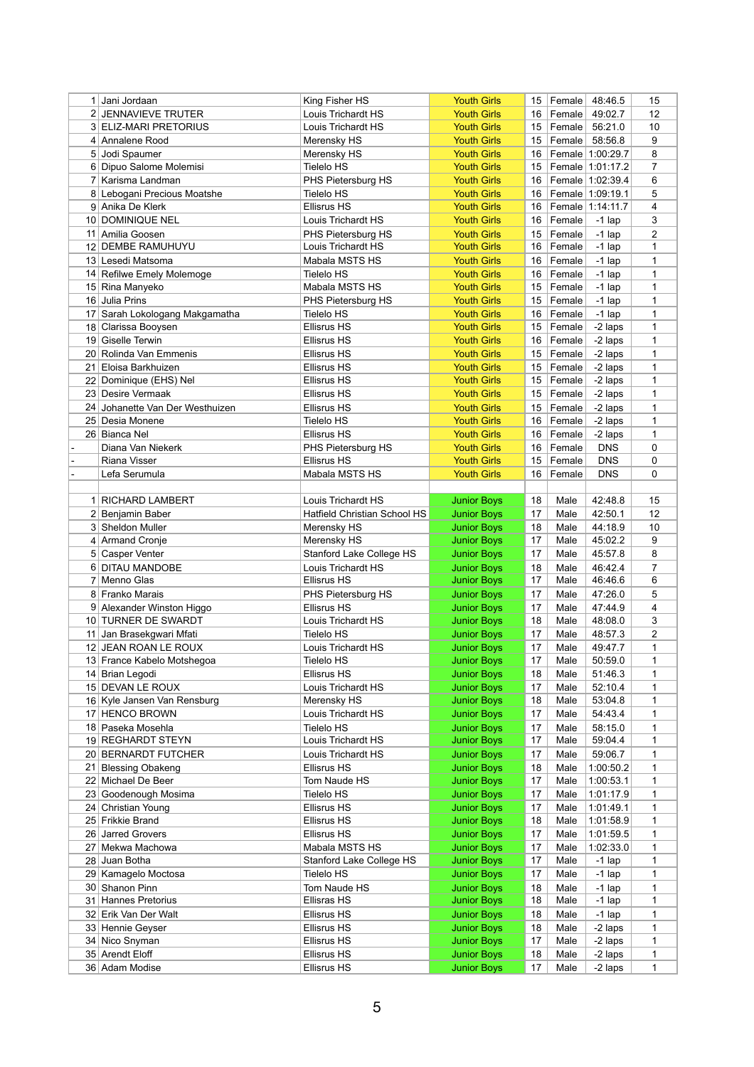|                 | Jani Jordaan                                         | King Fisher HS                           | <b>Youth Girls</b>                       | 15       | Female           | 48:46.5                | 15             |
|-----------------|------------------------------------------------------|------------------------------------------|------------------------------------------|----------|------------------|------------------------|----------------|
|                 | 2 JENNAVIEVE TRUTER                                  | Louis Trichardt HS                       | <b>Youth Girls</b>                       | 16       | Female           | 49:02.7                | 12             |
|                 | 3 ELIZ-MARI PRETORIUS                                | Louis Trichardt HS                       | <b>Youth Girls</b>                       | 15       | Female           | 56:21.0                | 10             |
|                 | 4 Annalene Rood                                      | Merensky HS                              | <b>Youth Girls</b>                       | 15       | Female           | 58:56.8                | 9              |
|                 | 5 Jodi Spaumer                                       | Merensky HS                              | <b>Youth Girls</b>                       | 16       |                  | Female 1:00:29.7       | 8              |
|                 | 6 Dipuo Salome Molemisi                              | <b>Tielelo HS</b>                        | <b>Youth Girls</b>                       | 15       |                  | Female 1:01:17.2       | $\overline{7}$ |
|                 | 7 Karisma Landman                                    | PHS Pietersburg HS                       | <b>Youth Girls</b>                       | 16       |                  | Female 1:02:39.4       | 6              |
|                 | 8 Lebogani Precious Moatshe                          | <b>Tielelo HS</b>                        | <b>Youth Girls</b>                       | 16       |                  | Female 1:09:19.1       | 5              |
|                 | 9 Anika De Klerk                                     | <b>Ellisrus HS</b>                       | <b>Youth Girls</b>                       | 16       |                  | Female 1:14:11.7       | 4              |
|                 | 10 DOMINIQUE NEL                                     | Louis Trichardt HS                       | <b>Youth Girls</b>                       | 16       | Female           | $-1$ lap               | 3              |
| 11              | Amilia Goosen                                        | PHS Pietersburg HS                       | <b>Youth Girls</b>                       | 15       | Female           | $-1$ lap               | $\overline{2}$ |
| 12 <sub>1</sub> | <b>DEMBE RAMUHUYU</b>                                | Louis Trichardt HS                       | <b>Youth Girls</b>                       | 16       | Female           | $-1$ lap               | 1              |
|                 | 13 Lesedi Matsoma                                    | Mabala MSTS HS                           | <b>Youth Girls</b>                       | 16       | Female           | $-1$ lap               | 1              |
|                 | 14 Refilwe Emely Molemoge                            | <b>Tielelo HS</b>                        | <b>Youth Girls</b>                       | 16       | Female           | $-1$ lap               | 1              |
|                 | 15 Rina Manyeko                                      | Mabala MSTS HS                           | <b>Youth Girls</b>                       | 15       | Female           | $-1$ lap               | 1              |
|                 | 16 Julia Prins                                       | PHS Pietersburg HS                       | <b>Youth Girls</b>                       | 15       | Female           | $-1$ lap               | 1              |
| 17 <sup>1</sup> | Sarah Lokologang Makgamatha                          | <b>Tielelo HS</b>                        | <b>Youth Girls</b>                       | 16       | Female           | $-1$ lap               | 1              |
|                 | 18 Clarissa Booysen                                  | <b>Ellisrus HS</b>                       | <b>Youth Girls</b>                       | 15       | Female           | -2 laps                | 1              |
|                 | 19 Giselle Terwin                                    | <b>Ellisrus HS</b>                       | <b>Youth Girls</b>                       | 16       | Female           | -2 laps                | 1              |
|                 | 20 Rolinda Van Emmenis                               | <b>Ellisrus HS</b>                       | <b>Youth Girls</b>                       | 15       | Female           | -2 laps                | 1              |
| 21              | Eloisa Barkhuizen                                    | <b>Ellisrus HS</b>                       | <b>Youth Girls</b>                       | 15       | Female           | -2 laps                | 1              |
| 22              | Dominique (EHS) Nel                                  | <b>Ellisrus HS</b>                       | <b>Youth Girls</b>                       | 15       | Female           | -2 laps                | 1              |
|                 | 23 Desire Vermaak<br>24 Johanette Van Der Westhuizen | <b>Ellisrus HS</b><br><b>Ellisrus HS</b> | <b>Youth Girls</b><br><b>Youth Girls</b> | 15<br>15 | Female<br>Female | -2 laps<br>-2 laps     | 1<br>1         |
| 25              | Desia Monene                                         | <b>Tielelo HS</b>                        | <b>Youth Girls</b>                       | 16       | Female           | -2 laps                | 1              |
|                 | 26 Bianca Nel                                        | <b>Ellisrus HS</b>                       | <b>Youth Girls</b>                       | 16       | Female           | -2 laps                | 1              |
|                 | Diana Van Niekerk                                    | PHS Pietersburg HS                       | <b>Youth Girls</b>                       | 16       | Female           | <b>DNS</b>             | 0              |
|                 | Riana Visser                                         | <b>Ellisrus HS</b>                       | <b>Youth Girls</b>                       | 15       | Female           | <b>DNS</b>             | 0              |
|                 | Lefa Serumula                                        | Mabala MSTS HS                           | <b>Youth Girls</b>                       | 16       | Female           | <b>DNS</b>             | 0              |
|                 |                                                      |                                          |                                          |          |                  |                        |                |
| 1 <sup>1</sup>  | <b>RICHARD LAMBERT</b>                               | Louis Trichardt HS                       | <b>Junior Boys</b>                       | 18       | Male             | 42:48.8                | 15             |
|                 | 2 Benjamin Baber                                     | <b>Hatfield Christian School HS</b>      | <b>Junior Boys</b>                       | 17       | Male             | 42:50.1                | 12             |
|                 | 3 Sheldon Muller                                     | Merensky HS                              | <b>Junior Boys</b>                       | 18       | Male             | 44:18.9                | 10             |
|                 | 4 Armand Cronje                                      | Merensky HS                              | <b>Junior Boys</b>                       | 17       | Male             | 45:02.2                | 9              |
|                 | 5 Casper Venter                                      | Stanford Lake College HS                 | <b>Junior Boys</b>                       | 17       | Male             | 45:57.8                | 8              |
|                 | 6 DITAU MANDOBE                                      | Louis Trichardt HS                       | <b>Junior Boys</b>                       | 18       | Male             | 46:42.4                | 7              |
|                 | Menno Glas                                           | <b>Ellisrus HS</b>                       | <b>Junior Boys</b>                       | 17       | Male             | 46:46.6                | 6              |
|                 | 8 Franko Marais                                      | PHS Pietersburg HS                       | <b>Junior Boys</b>                       | 17       | Male             | 47:26.0                | 5              |
|                 | 9 Alexander Winston Higgo                            | <b>Ellisrus HS</b>                       | <b>Junior Boys</b>                       | 17       | Male             | 47:44.9                | 4              |
|                 | 10 TURNER DE SWARDT                                  | Louis Trichardt HS                       | <b>Junior Boys</b>                       | 18       | Male             | 48:08.0                | 3              |
|                 | 11 Jan Brasekgwari Mfati                             | Tielelo HS                               | <b>Junior Boys</b>                       | 17       | Male             | 48:57.3                | 2              |
|                 | 12 JEAN ROAN LE ROUX                                 | Louis Trichardt HS                       | <b>Junior Boys</b>                       | 17       | Male             | 49:47.7                | 1              |
|                 | 13 France Kabelo Motshegoa                           | <b>Tielelo HS</b>                        | <b>Junior Boys</b>                       | 17       | Male             | 50:59.0                | 1              |
|                 | 14 Brian Legodi                                      | <b>Ellisrus HS</b>                       | <b>Junior Boys</b>                       | 18       | Male             | 51:46.3                | 1              |
|                 | 15 DEVAN LE ROUX                                     | Louis Trichardt HS                       | <b>Junior Boys</b>                       | 17       | Male             | 52:10.4                | 1              |
|                 | 16 Kyle Jansen Van Rensburg                          | Merensky HS                              | <b>Junior Boys</b>                       | 18       | Male             | 53:04.8                | 1              |
|                 | 17 HENCO BROWN                                       | Louis Trichardt HS                       | <b>Junior Boys</b>                       | 17       | Male             | 54:43.4                | 1              |
|                 | 18 Paseka Mosehla                                    | <b>Tielelo HS</b>                        | <b>Junior Boys</b>                       | 17<br>17 | Male             | 58:15.0                | 1              |
|                 | 19 REGHARDT STEYN                                    | Louis Trichardt HS                       | <b>Junior Boys</b>                       |          | Male             | 59:04.4                | 1              |
| 21              | 20 BERNARDT FUTCHER                                  | Louis Trichardt HS                       | <b>Junior Boys</b>                       | 17       | Male             | 59:06.7                | 1              |
|                 | <b>Blessing Obakeng</b><br>22 Michael De Beer        | <b>Ellisrus HS</b><br>Tom Naude HS       | <b>Junior Boys</b><br><b>Junior Boys</b> | 18<br>17 | Male<br>Male     | 1:00:50.2<br>1:00:53.1 | 1<br>1         |
|                 | 23 Goodenough Mosima                                 | <b>Tielelo HS</b>                        | <b>Junior Boys</b>                       | 17       | Male             | 1:01:17.9              | 1              |
| 24              | <b>Christian Young</b>                               | <b>Ellisrus HS</b>                       | <b>Junior Boys</b>                       | 17       | Male             | 1:01:49.1              | 1              |
|                 | 25 Frikkie Brand                                     | <b>Ellisrus HS</b>                       | <b>Junior Boys</b>                       | 18       | Male             | 1:01:58.9              | 1              |
|                 | 26 Jarred Grovers                                    | <b>Ellisrus HS</b>                       | <b>Junior Boys</b>                       | 17       | Male             | 1:01:59.5              | 1              |
| 27 <sub>1</sub> | Mekwa Machowa                                        | Mabala MSTS HS                           | <b>Junior Boys</b>                       | 17       | Male             | 1:02:33.0              | 1              |
|                 | 28 Juan Botha                                        | Stanford Lake College HS                 | <b>Junior Boys</b>                       | 17       | Male             | $-1$ lap               | 1              |
|                 | 29 Kamagelo Moctosa                                  | <b>Tielelo HS</b>                        | <b>Junior Boys</b>                       | 17       | Male             | $-1$ lap               | 1              |
|                 | 30 Shanon Pinn                                       | Tom Naude HS                             | <b>Junior Boys</b>                       | 18       | Male             | $-1$ lap               | 1              |
| 31              | <b>Hannes Pretorius</b>                              | <b>Ellisras HS</b>                       | <b>Junior Boys</b>                       | 18       | Male             | $-1$ lap               | 1              |
|                 | 32 Erik Van Der Walt                                 | <b>Ellisrus HS</b>                       | <b>Junior Boys</b>                       | 18       | Male             | $-1$ lap               | 1              |
|                 | 33 Hennie Geyser                                     | <b>Ellisrus HS</b>                       | <b>Junior Boys</b>                       | 18       | Male             | -2 laps                | 1              |
|                 | 34 Nico Snyman                                       | <b>Ellisrus HS</b>                       | <b>Junior Boys</b>                       | 17       | Male             | -2 laps                | 1              |
|                 | 35 Arendt Eloff                                      | <b>Ellisrus HS</b>                       | <b>Junior Boys</b>                       | 18       | Male             | -2 laps                | 1              |
|                 | 36 Adam Modise                                       | <b>Ellisrus HS</b>                       | <b>Junior Boys</b>                       |          | $17$ Male        | -2 laps                | 1              |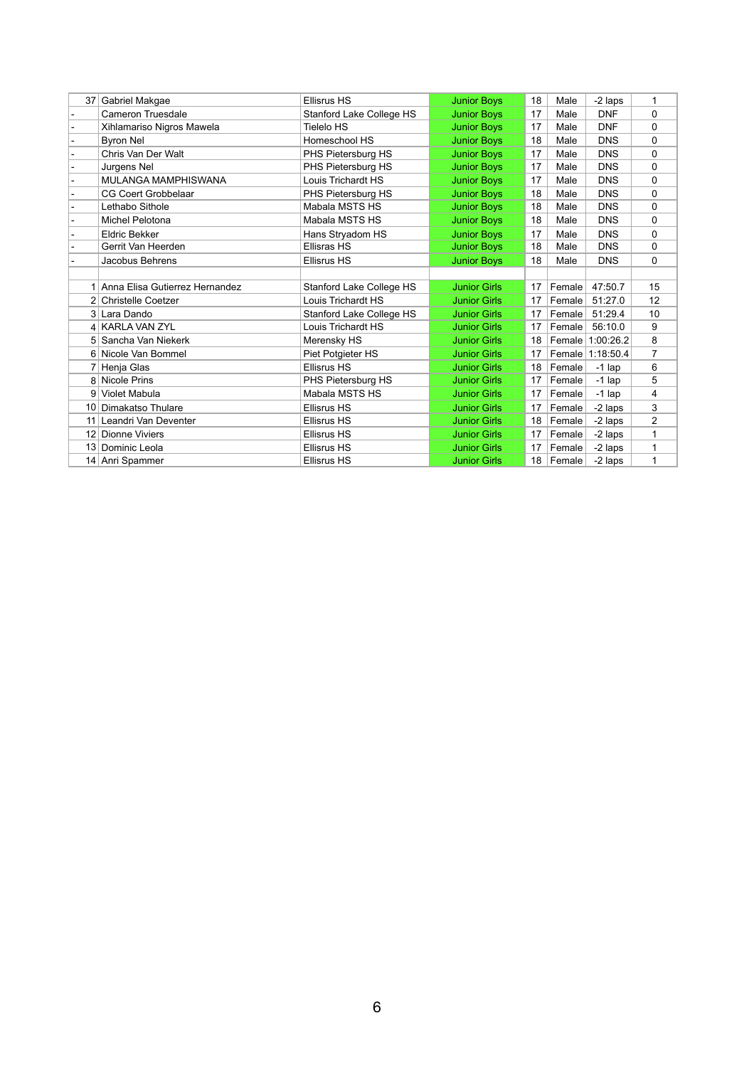| 37 <sup>2</sup> | Gabriel Makgae                   | <b>Ellisrus HS</b>              | <b>Junior Boys</b>  | 18 | Male   | -2 laps          | $\mathbf{1}$   |
|-----------------|----------------------------------|---------------------------------|---------------------|----|--------|------------------|----------------|
|                 | <b>Cameron Truesdale</b>         | <b>Stanford Lake College HS</b> | <b>Junior Boys</b>  | 17 | Male   | <b>DNF</b>       | 0              |
|                 | Xihlamariso Nigros Mawela        | <b>Tielelo HS</b>               | <b>Junior Boys</b>  | 17 | Male   | <b>DNF</b>       | 0              |
|                 | <b>Byron Nel</b>                 | Homeschool HS                   | <b>Junior Boys</b>  | 18 | Male   | <b>DNS</b>       | 0              |
|                 | Chris Van Der Walt               | PHS Pietersburg HS              | <b>Junior Boys</b>  | 17 | Male   | <b>DNS</b>       | 0              |
|                 | Jurgens Nel                      | PHS Pietersburg HS              | <b>Junior Boys</b>  | 17 | Male   | <b>DNS</b>       | $\mathbf{0}$   |
|                 | MULANGA MAMPHISWANA              | Louis Trichardt HS              | <b>Junior Boys</b>  | 17 | Male   | <b>DNS</b>       | 0              |
|                 | <b>CG Coert Grobbelaar</b>       | PHS Pietersburg HS              | <b>Junior Boys</b>  | 18 | Male   | <b>DNS</b>       | 0              |
|                 | Lethabo Sithole                  | Mabala MSTS HS                  | <b>Junior Boys</b>  | 18 | Male   | <b>DNS</b>       | 0              |
|                 | Michel Pelotona                  | Mabala MSTS HS                  | <b>Junior Boys</b>  | 18 | Male   | <b>DNS</b>       | 0              |
|                 | <b>Eldric Bekker</b>             | Hans Stryadom HS                | <b>Junior Boys</b>  | 17 | Male   | <b>DNS</b>       | 0              |
|                 | Gerrit Van Heerden               | <b>Ellisras HS</b>              | <b>Junior Boys</b>  | 18 | Male   | <b>DNS</b>       | $\mathbf{0}$   |
|                 | Jacobus Behrens                  | <b>Ellisrus HS</b>              | <b>Junior Boys</b>  | 18 | Male   | <b>DNS</b>       | 0              |
|                 |                                  |                                 |                     |    |        |                  |                |
|                 | 1 Anna Elisa Gutierrez Hernandez | <b>Stanford Lake College HS</b> | <b>Junior Girls</b> | 17 | Female | 47:50.7          | 15             |
|                 | 2 Christelle Coetzer             | Louis Trichardt HS              | <b>Junior Girls</b> | 17 | Female | 51:27.0          | 12             |
|                 | 3 Lara Dando                     | Stanford Lake College HS        | <b>Junior Girls</b> | 17 | Female | 51:29.4          | 10             |
|                 | 4 KARLA VAN ZYL                  | Louis Trichardt HS              | <b>Junior Girls</b> | 17 | Female | 56:10.0          | 9              |
|                 | 5 Sancha Van Niekerk             | Merensky HS                     | <b>Junior Girls</b> | 18 | Female | 1:00:26.2        | 8              |
|                 | 6 Nicole Van Bommel              | Piet Potgieter HS               | <b>Junior Girls</b> | 17 |        | Female 1:18:50.4 | $\overline{7}$ |
|                 | 7 Henja Glas                     | <b>Ellisrus HS</b>              | <b>Junior Girls</b> | 18 | Female | $-1$ lap         | 6              |
|                 | 8 Nicole Prins                   | PHS Pietersburg HS              | <b>Junior Girls</b> | 17 | Female | $-1$ lap         | 5              |
| 91              | Violet Mabula                    | Mabala MSTS HS                  | <b>Junior Girls</b> | 17 | Female | $-1$ lap         | 4              |
|                 | 10 Dimakatso Thulare             | <b>Ellisrus HS</b>              | <b>Junior Girls</b> | 17 | Female | -2 laps          | 3              |
| 11 <sup>1</sup> | Leandri Van Deventer             | <b>Ellisrus HS</b>              | <b>Junior Girls</b> | 18 | Female | -2 laps          | $\overline{2}$ |
| 12              | <b>Dionne Viviers</b>            | <b>Ellisrus HS</b>              | <b>Junior Girls</b> | 17 | Female | -2 laps          | 1              |
|                 | 13 Dominic Leola                 | <b>Ellisrus HS</b>              | <b>Junior Girls</b> | 17 | Female | -2 laps          | 1              |
|                 | 14 Anri Spammer                  | <b>Ellisrus HS</b>              | <b>Junior Girls</b> | 18 | Female | -2 laps          | 1              |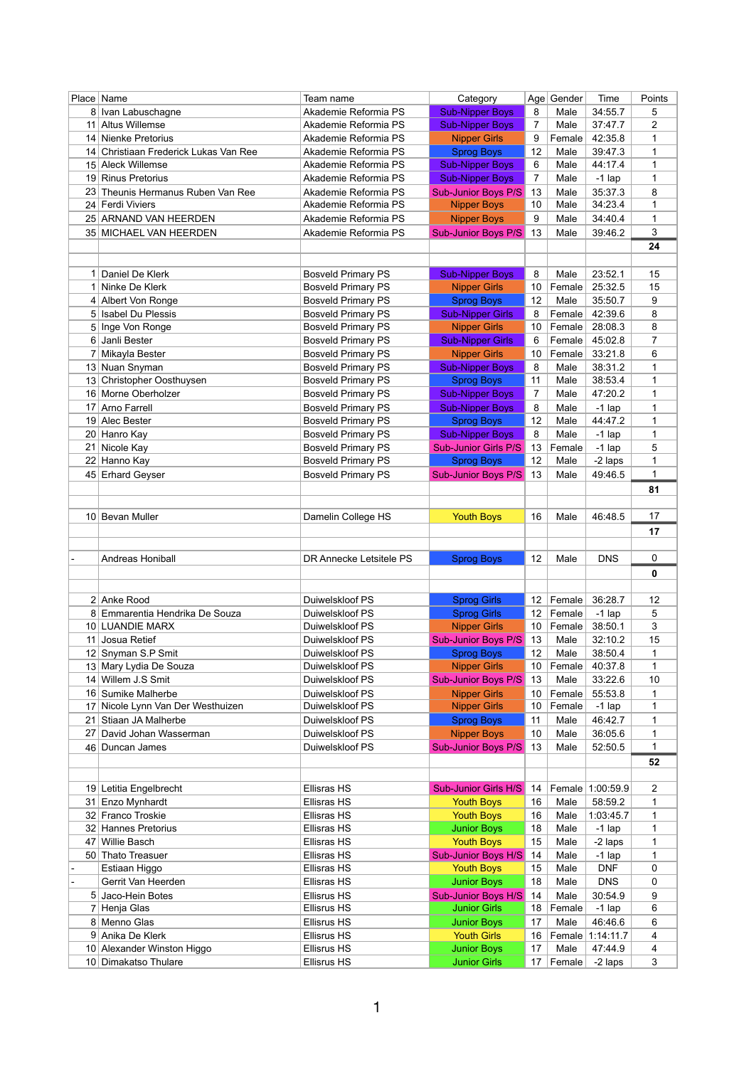|                 | Place  <br>Name                    | Team name                                | Category                                 |                | Age Gender     | Time                | Points      |
|-----------------|------------------------------------|------------------------------------------|------------------------------------------|----------------|----------------|---------------------|-------------|
|                 | 8 Ivan Labuschagne                 | Akademie Reformia PS                     | <b>Sub-Nipper Boys</b>                   | 8              | Male           | 34:55.7             | 5           |
| 11              | <b>Altus Willemse</b>              | Akademie Reformia PS                     | <b>Sub-Nipper Boys</b>                   | 7              | Male           | 37:47.7             | 2           |
| 14              | Nienke Pretorius                   | Akademie Reformia PS                     | <b>Nipper Girls</b>                      | 9              | Female         | 42:35.8             | 1           |
| 14              | Christiaan Frederick Lukas Van Ree | Akademie Reformia PS                     | <b>Sprog Boys</b>                        | 12             | Male           | 39:47.3             | 1           |
|                 | 15 Aleck Willemse                  | Akademie Reformia PS                     | <b>Sub-Nipper Boys</b>                   | 6              | Male           | 44:17.4             | 1           |
| 19 <sup>1</sup> | <b>Rinus Pretorius</b>             | Akademie Reformia PS                     | <b>Sub-Nipper Boys</b>                   | $\overline{7}$ | Male           | $-1$ lap            | 1           |
| 23 <sub>1</sub> | Theunis Hermanus Ruben Van Ree     | Akademie Reformia PS                     | <b>Sub-Junior Boys P/S</b>               | 13             | Male           | 35:37.3             | 8           |
|                 | 24 Ferdi Viviers                   | Akademie Reformia PS                     | <b>Nipper Boys</b>                       | 10             | Male           | 34:23.4             | 1           |
|                 | 25 ARNAND VAN HEERDEN              | Akademie Reformia PS                     | <b>Nipper Boys</b>                       | 9              | Male           | 34:40.4             | 1           |
|                 | 35 MICHAEL VAN HEERDEN             | Akademie Reformia PS                     | <b>Sub-Junior Boys P/S</b>               | 13             | Male           | 39:46.2             | 3           |
|                 |                                    |                                          |                                          |                |                |                     | 24          |
|                 |                                    |                                          |                                          |                |                |                     |             |
|                 | Daniel De Klerk                    | <b>Bosveld Primary PS</b>                | <b>Sub-Nipper Boys</b>                   | 8              | Male           | 23:52.1             | 15          |
| 1 <sup>1</sup>  | Ninke De Klerk                     | <b>Bosveld Primary PS</b>                | <b>Nipper Girls</b>                      | 10             | Female         | 25:32.5             | 15          |
|                 | 4 Albert Von Ronge                 | <b>Bosveld Primary PS</b>                | <b>Sprog Boys</b>                        | 12             | Male           | 35:50.7             | 9           |
|                 | 5 Isabel Du Plessis                | <b>Bosveld Primary PS</b>                | <b>Sub-Nipper Girls</b>                  | 8              | Female         | 42:39.6             | 8           |
| 5 <sup>1</sup>  | Inge Von Ronge                     | <b>Bosveld Primary PS</b>                | <b>Nipper Girls</b>                      | 10             | Female         | 28:08.3             | 8           |
|                 | 6 Janli Bester                     | <b>Bosveld Primary PS</b>                | <b>Sub-Nipper Girls</b>                  | 6              | Female         | 45:02.8             | 7           |
|                 | Mikayla Bester                     | <b>Bosveld Primary PS</b>                | <b>Nipper Girls</b>                      | 10             | Female         | 33:21.8             | 6           |
|                 | 13 Nuan Snyman                     | <b>Bosveld Primary PS</b>                | <b>Sub-Nipper Boys</b>                   | 8              | Male           | 38:31.2             | 1           |
| 13              | Christopher Oosthuysen             | <b>Bosveld Primary PS</b>                | <b>Sprog Boys</b>                        | 11             | Male           | 38:53.4             | 1           |
|                 | 16 Morne Oberholzer                | <b>Bosveld Primary PS</b>                | <b>Sub-Nipper Boys</b>                   | 7              | Male           | 47:20.2             | 1           |
| 17              | Arno Farrell                       | <b>Bosveld Primary PS</b>                | <b>Sub-Nipper Boys</b>                   | 8              | Male           | $-1$ lap            | 1           |
|                 | 19 Alec Bester                     | <b>Bosveld Primary PS</b>                | <b>Sprog Boys</b>                        | 12             | Male           | 44:47.2             | 1           |
|                 | 20 Hanro Kay                       | <b>Bosveld Primary PS</b>                | <b>Sub-Nipper Boys</b>                   | 8              | Male           | $-1$ lap            | 1           |
| 21              | Nicole Kay                         | <b>Bosveld Primary PS</b>                | <b>Sub-Junior Girls P/S</b>              | 13             | Female         | $-1$ lap            | 5           |
| 22              | Hanno Kay                          | <b>Bosveld Primary PS</b>                | <b>Sprog Boys</b>                        | 12             | Male           | -2 laps             | 1           |
|                 | 45 Erhard Geyser                   | <b>Bosveld Primary PS</b>                | <b>Sub-Junior Boys P/S</b>               | 13             | Male           | 49:46.5             | 1           |
|                 |                                    |                                          |                                          |                |                |                     | 81          |
|                 |                                    |                                          |                                          |                |                |                     |             |
|                 | 10 Bevan Muller                    | Damelin College HS                       | <b>Youth Boys</b>                        | 16             | Male           | 46:48.5             | 17          |
|                 |                                    |                                          |                                          |                |                |                     | 17          |
|                 |                                    |                                          |                                          |                |                |                     |             |
|                 | Andreas Honiball                   | DR Annecke Letsitele PS                  | <b>Sprog Boys</b>                        | 12             | Male           | <b>DNS</b>          | 0           |
|                 |                                    |                                          |                                          |                |                |                     |             |
|                 |                                    |                                          |                                          |                |                |                     | $\mathbf 0$ |
|                 |                                    |                                          |                                          |                |                |                     |             |
|                 | 2 Anke Rood                        | Duiwelskloof PS                          | <b>Sprog Girls</b>                       | 12             | Female         | 36:28.7             | 12          |
|                 | 8 Emmarentia Hendrika De Souza     | Duiwelskloof PS                          | <b>Sprog Girls</b>                       | 12             | Female         | $-1$ lap            | 5           |
|                 | 10 LUANDIE MARX                    | Duiwelskloof PS                          | <b>Nipper Girls</b>                      | 10             | Female         | 38:50.1             | 3           |
| 11              | Josua Retief                       | Duiwelskloof PS                          | <b>Sub-Junior Boys P/S</b>               | 13             | Male           | 32:10.2             | 15          |
| 12              | Snyman S.P Smit                    | Duiwelskloof PS                          | <b>Sprog Boys</b>                        | 12             | Male           | 38:50.4             | 1           |
|                 | 13 Mary Lydia De Souza             | Duiwelskloof PS                          | <b>Nipper Girls</b>                      | 10             | Female         | 40:37.8             | 1           |
| 14              | Willem J.S Smit                    | Duiwelskloof PS                          | <b>Sub-Junior Boys P/S</b>               | 13             | Male           | 33:22.6             | 10          |
|                 | 16 Sumike Malherbe                 | Duiwelskloof PS                          | <b>Nipper Girls</b>                      | 10             | Female         | 55:53.8             | 1           |
| 17 <sup>1</sup> | Nicole Lynn Van Der Westhuizen     | Duiwelskloof PS                          | <b>Nipper Girls</b>                      | 10             | Female         | $-1$ lap            | 1           |
| 21              | Stiaan JA Malherbe                 | Duiwelskloof PS                          | <b>Sprog Boys</b>                        | 11             | Male           | 46:42.7             | 1           |
| 27              | David Johan Wasserman              | Duiwelskloof PS                          | <b>Nipper Boys</b>                       | 10             | Male           | 36:05.6             | 1           |
|                 | 46 Duncan James                    | Duiwelskloof PS                          | <b>Sub-Junior Boys P/S</b>               | 13             | Male           | 52:50.5             | 1           |
|                 |                                    |                                          |                                          |                |                |                     | 52          |
|                 |                                    |                                          |                                          |                |                |                     |             |
|                 | 19 Letitia Engelbrecht             | <b>Ellisras HS</b>                       | <b>Sub-Junior Girls H/S</b>              | 14             |                | Female 1:00:59.9    | 2           |
| 31              | Enzo Mynhardt                      | <b>Ellisras HS</b>                       | <b>Youth Boys</b>                        | 16             | Male           | 58:59.2             | 1           |
|                 | 32 Franco Troskie                  | <b>Ellisras HS</b>                       | <b>Youth Boys</b>                        | 16             | Male           | 1:03:45.7           | 1           |
| 32              | <b>Hannes Pretorius</b>            | <b>Ellisras HS</b>                       | <b>Junior Boys</b>                       | 18             | Male           | $-1$ lap            | 1           |
| 47              | <b>Willie Basch</b>                | <b>Ellisras HS</b>                       | <b>Youth Boys</b>                        | 15             | Male           | -2 laps             | 1           |
|                 | 50 Thato Treasuer                  | <b>Ellisras HS</b>                       | Sub-Junior Boys H/S                      | 14             | Male           | $-1$ lap            | 1           |
|                 | Estiaan Higgo                      | <b>Ellisras HS</b>                       | <b>Youth Boys</b>                        | 15             | Male           | <b>DNF</b>          | 0           |
|                 | Gerrit Van Heerden                 | <b>Ellisras HS</b>                       | <b>Junior Boys</b>                       | 18             | Male           | <b>DNS</b>          | 0           |
|                 | 5 Jaco-Hein Botes                  | <b>Ellisrus HS</b><br><b>Ellisrus HS</b> | <b>Sub-Junior Boys H/S</b>               | 14<br>18       | Male           | 30:54.9             | 9<br>6      |
|                 | 7 Henja Glas<br>8 Menno Glas       | <b>Ellisrus HS</b>                       | <b>Junior Girls</b>                      | 17             | Female<br>Male | $-1$ lap<br>46:46.6 | 6           |
|                 | 9 Anika De Klerk                   | <b>Ellisrus HS</b>                       | <b>Junior Boys</b><br><b>Youth Girls</b> | 16             |                | Female 1:14:11.7    | 4           |
|                 | 10 Alexander Winston Higgo         | Ellisrus HS                              | <b>Junior Boys</b>                       | 17             | Male           | 47:44.9             | 4           |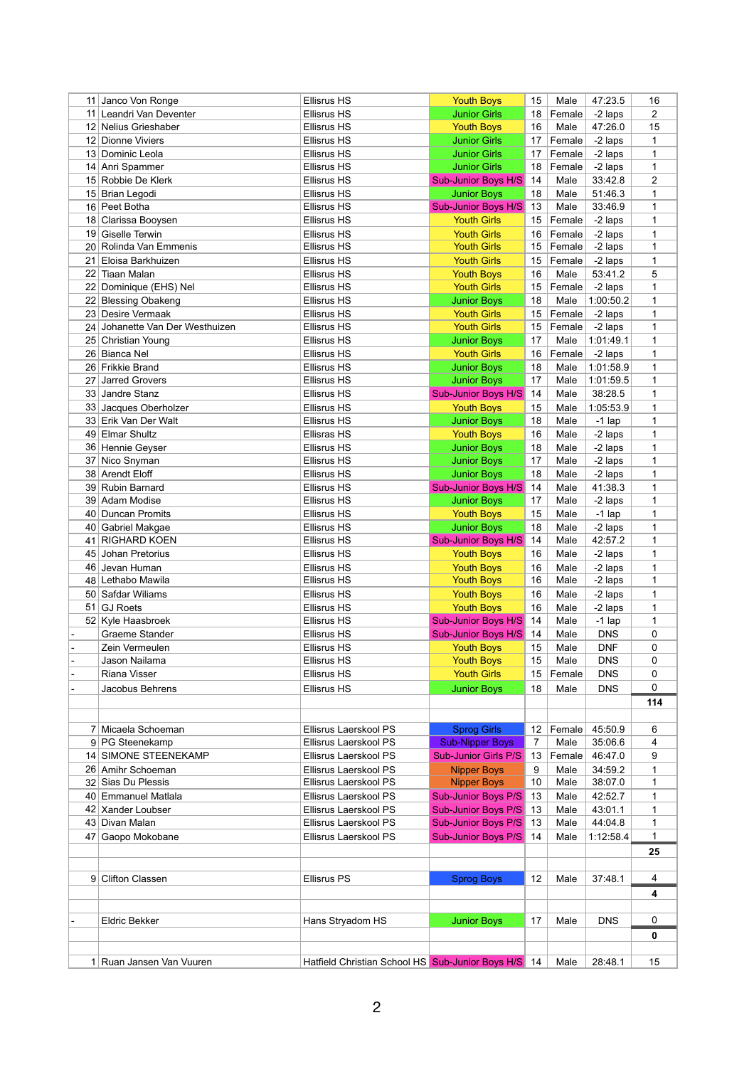|    | 11 Janco Von Ronge                   | <b>Ellisrus HS</b>                                  | <b>Youth Boys</b>                         | 15              | Male            | 47:23.5                  | 16               |
|----|--------------------------------------|-----------------------------------------------------|-------------------------------------------|-----------------|-----------------|--------------------------|------------------|
|    | 11 Leandri Van Deventer              | <b>Ellisrus HS</b>                                  | <b>Junior Girls</b>                       | 18              | Female          | -2 laps                  | $\overline{2}$   |
|    | 12 Nelius Grieshaber                 | <b>Ellisrus HS</b>                                  | <b>Youth Boys</b>                         | 16              | Male            | 47:26.0                  | 15               |
|    | 12 Dionne Viviers                    | <b>Ellisrus HS</b>                                  | <b>Junior Girls</b>                       | 17              | Female          | -2 laps                  | 1                |
|    | 13 Dominic Leola                     | <b>Ellisrus HS</b>                                  | <b>Junior Girls</b>                       | 17              | Female          | -2 laps                  | 1                |
|    | 14 Anri Spammer                      | <b>Ellisrus HS</b>                                  | <b>Junior Girls</b>                       | 18              | Female          | -2 laps                  | 1                |
|    | 15 Robbie De Klerk                   | <b>Ellisrus HS</b>                                  | <b>Sub-Junior Boys H/S</b>                | 14              | Male            | 33:42.8                  | $\overline{2}$   |
|    | 15 Brian Legodi                      | <b>Ellisrus HS</b>                                  | <b>Junior Boys</b>                        | 18              | Male            | 51:46.3                  | 1                |
|    | 16 Peet Botha                        | <b>Ellisrus HS</b>                                  | <b>Sub-Junior Boys H/S</b>                | 13              | Male            | 33:46.9                  | 1                |
|    | 18 Clarissa Booysen                  | <b>Ellisrus HS</b>                                  | <b>Youth Girls</b>                        | 15              | Female          | -2 laps                  | 1                |
|    | 19 Giselle Terwin                    | <b>Ellisrus HS</b>                                  | <b>Youth Girls</b>                        | 16              | Female          | -2 laps                  | 1                |
|    | 20 Rolinda Van Emmenis               | <b>Ellisrus HS</b>                                  | <b>Youth Girls</b>                        | 15              | Female          | -2 laps                  | 1                |
|    | 21 Eloisa Barkhuizen                 | <b>Ellisrus HS</b>                                  | <b>Youth Girls</b>                        | 15              | Female          | -2 laps                  | 1                |
| 22 | <b>Tiaan Malan</b>                   | <b>Ellisrus HS</b>                                  | <b>Youth Boys</b>                         | 16              | Male            | 53:41.2                  | 5                |
|    | 22 Dominique (EHS) Nel               | <b>Ellisrus HS</b>                                  | <b>Youth Girls</b>                        | 15              | Female          | -2 laps                  | 1                |
|    | 22 Blessing Obakeng                  | <b>Ellisrus HS</b>                                  | <b>Junior Boys</b>                        | 18              | Male            | 1:00:50.2                | 1                |
|    | 23 Desire Vermaak                    | <b>Ellisrus HS</b>                                  | <b>Youth Girls</b>                        | 15              | Female          | -2 laps                  | 1                |
|    | 24 Johanette Van Der Westhuizen      | <b>Ellisrus HS</b>                                  | <b>Youth Girls</b>                        | 15              | Female          | -2 laps                  | 1                |
|    | 25 Christian Young                   | <b>Ellisrus HS</b>                                  | <b>Junior Boys</b>                        | 17              | Male            | 1:01:49.1                | 1                |
|    | 26 Bianca Nel                        | <b>Ellisrus HS</b>                                  | <b>Youth Girls</b>                        | 16              | Female          | -2 laps                  | 1                |
|    | 26 Frikkie Brand                     | <b>Ellisrus HS</b>                                  | <b>Junior Boys</b>                        | 18              | Male            | 1:01:58.9                | 1                |
| 27 | <b>Jarred Grovers</b>                | <b>Ellisrus HS</b>                                  | <b>Junior Boys</b>                        | 17              | Male            | 1:01:59.5                | 1                |
|    | 33 Jandre Stanz                      | <b>Ellisrus HS</b>                                  | <b>Sub-Junior Boys H/S</b>                | 14              | Male            | 38:28.5                  | 1                |
|    | 33 Jacques Oberholzer                | <b>Ellisrus HS</b>                                  | <b>Youth Boys</b>                         | 15              | Male            | 1:05:53.9                | 1                |
|    | 33 Erik Van Der Walt                 | <b>Ellisrus HS</b>                                  | <b>Junior Boys</b>                        | 18              | Male            | $-1$ lap                 | 1                |
|    | 49 Elmar Shultz                      | <b>Ellisras HS</b>                                  | <b>Youth Boys</b>                         | 16              | Male            | -2 laps                  | 1                |
|    | 36 Hennie Geyser                     | <b>Ellisrus HS</b>                                  | <b>Junior Boys</b>                        | 18              | Male            | -2 laps                  | 1                |
|    | 37 Nico Snyman                       | <b>Ellisrus HS</b>                                  | <b>Junior Boys</b>                        | 17              | Male            | -2 laps                  | 1                |
|    | 38 Arendt Eloff                      | <b>Ellisrus HS</b>                                  | <b>Junior Boys</b>                        | 18              | Male            | -2 laps                  | 1                |
|    | 39 Rubin Barnard                     | <b>Ellisrus HS</b>                                  | <b>Sub-Junior Boys H/S</b>                | 14              | Male            | 41:38.3                  | 1                |
|    | 39 Adam Modise                       | <b>Ellisrus HS</b>                                  | <b>Junior Boys</b>                        | 17              | Male            | -2 laps                  | 1                |
|    | 40 Duncan Promits                    | <b>Ellisrus HS</b>                                  | <b>Youth Boys</b>                         | 15              | Male            | $-1$ lap                 | 1                |
|    | 40 Gabriel Makgae                    | <b>Ellisrus HS</b>                                  |                                           |                 |                 |                          |                  |
|    | 41 RIGHARD KOEN                      | <b>Ellisrus HS</b>                                  | <b>Junior Boys</b><br>Sub-Junior Boys H/S | 18<br>14        | Male<br>Male    | -2 laps<br>42:57.2       | 1<br>$\mathbf 1$ |
|    |                                      | <b>Ellisrus HS</b>                                  |                                           |                 |                 |                          |                  |
|    | 45 Johan Pretorius<br>46 Jevan Human |                                                     | <b>Youth Boys</b>                         | 16<br>16        | Male            | -2 laps                  | 1                |
|    | 48 Lethabo Mawila                    | <b>Ellisrus HS</b><br><b>Ellisrus HS</b>            | <b>Youth Boys</b><br><b>Youth Boys</b>    | 16              | Male<br>Male    | -2 laps                  | 1                |
|    | 50 Safdar Wiliams                    | <b>Ellisrus HS</b>                                  |                                           | 16              | Male            | -2 laps                  | 1                |
|    |                                      |                                                     | <b>Youth Boys</b>                         | 16              |                 | -2 laps                  | 1                |
|    | 51 GJ Roets                          | <b>Ellisrus HS</b><br><b>Ellisrus HS</b>            | <b>Youth Boys</b><br>Sub-Junior Boys H/S  | 14              | Male<br>Male    | -2 laps                  | 1                |
|    | 52 Kyle Haasbroek<br>Graeme Stander  | <b>Ellisrus HS</b>                                  | Sub-Junior Boys H/S                       | 14              | Male            | $-1$ lap<br><b>DNS</b>   | 1<br>0           |
|    |                                      |                                                     |                                           |                 |                 |                          |                  |
|    | Zein Vermeulen<br>Jason Nailama      | <b>Ellisrus HS</b><br><b>Ellisrus HS</b>            | <b>Youth Boys</b><br><b>Youth Boys</b>    | 15<br>15        | Male<br>Male    | <b>DNF</b><br><b>DNS</b> | 0<br>0           |
|    |                                      |                                                     |                                           |                 |                 |                          |                  |
|    | <b>Riana Visser</b>                  | <b>Ellisrus HS</b>                                  | <b>Youth Girls</b>                        | 15              | Female          | <b>DNS</b>               | 0                |
|    | Jacobus Behrens                      | <b>Ellisrus HS</b>                                  | <b>Junior Boys</b>                        | 18              | Male            | <b>DNS</b>               | 0                |
|    |                                      |                                                     |                                           |                 |                 |                          | 114              |
|    |                                      |                                                     |                                           |                 |                 |                          |                  |
|    | 7 Micaela Schoeman                   | Ellisrus Laerskool PS                               | <b>Sprog Girls</b>                        |                 | 12   Female $ $ | 45:50.9                  | 6                |
|    | 9 PG Steenekamp                      | Ellisrus Laerskool PS                               | <b>Sub-Nipper Boys</b>                    | 7               | Male            | 35:06.6                  | 4                |
|    | 14 SIMONE STEENEKAMP                 | Ellisrus Laerskool PS                               | <b>Sub-Junior Girls P/S</b>               | 13              | Female          | 46:47.0                  | 9                |
|    | 26 Amihr Schoeman                    | Ellisrus Laerskool PS                               | <b>Nipper Boys</b>                        | 9               | Male            | 34:59.2                  | 1                |
|    | 32 Sias Du Plessis                   | Ellisrus Laerskool PS                               | <b>Nipper Boys</b>                        | 10              | Male            | 38:07.0                  | 1                |
|    | 40 Emmanuel Matlala                  | Ellisrus Laerskool PS                               | <b>Sub-Junior Boys P/S</b>                | 13              | Male            | 42:52.7                  | 1                |
|    | 42 Xander Loubser                    | Ellisrus Laerskool PS                               | <b>Sub-Junior Boys P/S</b>                | 13              | Male            | 43:01.1                  | 1                |
|    | 43 Divan Malan                       | Ellisrus Laerskool PS                               | Sub-Junior Boys P/S                       | 13              | Male            | 44:04.8                  | 1                |
|    | 47 Gaopo Mokobane                    | Ellisrus Laerskool PS                               | Sub-Junior Boys P/S                       | 14              | Male            | 1:12:58.4                | $\mathbf{1}$     |
|    |                                      |                                                     |                                           |                 |                 |                          | 25               |
|    |                                      |                                                     |                                           |                 |                 |                          |                  |
|    | 9 Clifton Classen                    | <b>Ellisrus PS</b>                                  | <b>Sprog Boys</b>                         | 12 <sup>°</sup> | Male            | 37:48.1                  | 4                |
|    |                                      |                                                     |                                           |                 |                 |                          | 4                |
|    |                                      |                                                     |                                           |                 |                 |                          |                  |
|    | <b>Eldric Bekker</b>                 | Hans Stryadom HS                                    | <b>Junior Boys</b>                        | 17              | Male            | <b>DNS</b>               | $\mathbf 0$      |
|    |                                      |                                                     |                                           |                 |                 |                          | 0                |
|    |                                      |                                                     |                                           |                 |                 |                          |                  |
|    | 1 Ruan Jansen Van Vuuren             | Hatfield Christian School HS Sub-Junior Boys H/S 14 |                                           |                 | Male            | 28:48.1                  | 15               |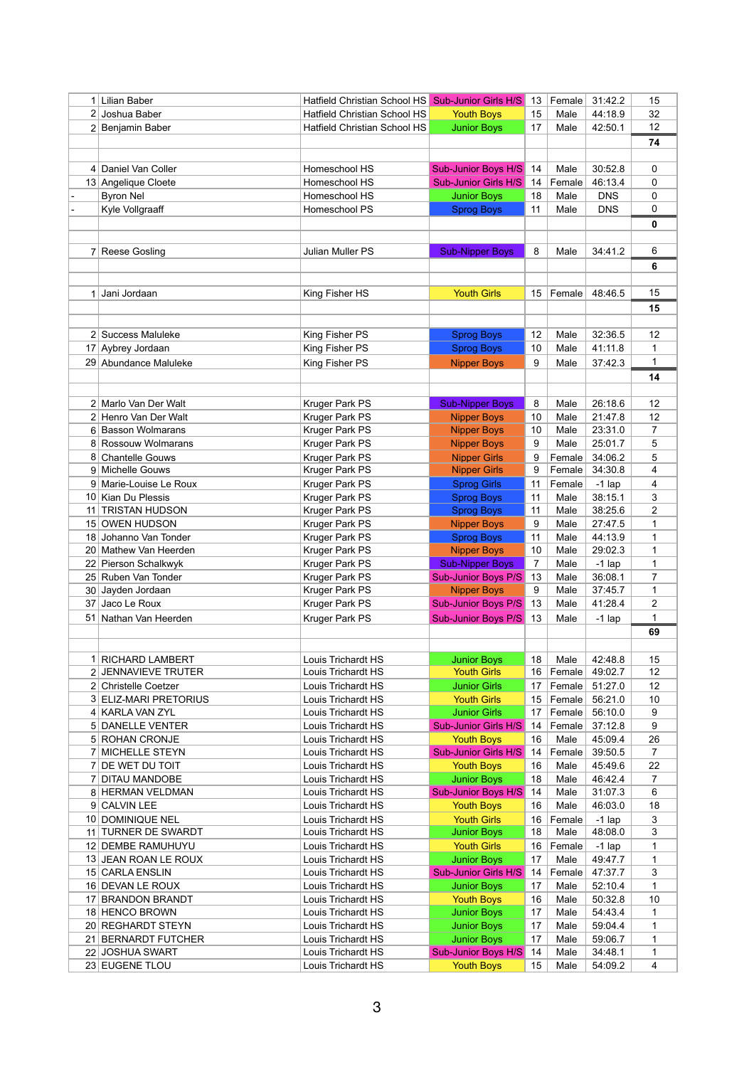|                 | Lilian Baber            | Hatfield Christian School HS Sub-Junior Girls H/S |                             | 13 | Female | 31:42.2    | 15             |
|-----------------|-------------------------|---------------------------------------------------|-----------------------------|----|--------|------------|----------------|
|                 | 2 Joshua Baber          | Hatfield Christian School HS                      | <b>Youth Boys</b>           | 15 | Male   | 44:18.9    | 32             |
|                 | 2 Benjamin Baber        | <b>Hatfield Christian School HS</b>               | <b>Junior Boys</b>          | 17 | Male   | 42:50.1    | 12             |
|                 |                         |                                                   |                             |    |        |            | 74             |
|                 |                         |                                                   |                             |    |        |            |                |
| 4 <sup>1</sup>  | Daniel Van Coller       | Homeschool HS                                     | <b>Sub-Junior Boys H/S</b>  | 14 | Male   | 30:52.8    | $\mathbf{0}$   |
|                 | 13 Angelique Cloete     | Homeschool HS                                     | <b>Sub-Junior Girls H/S</b> | 14 | Female | 46:13.4    | 0              |
|                 | <b>Byron Nel</b>        | Homeschool HS                                     | <b>Junior Boys</b>          | 18 | Male   | <b>DNS</b> | 0              |
|                 | Kyle Vollgraaff         | Homeschool PS                                     | <b>Sprog Boys</b>           | 11 | Male   | <b>DNS</b> | 0              |
|                 |                         |                                                   |                             |    |        |            | $\mathbf 0$    |
|                 |                         |                                                   |                             |    |        |            |                |
|                 | 7 Reese Gosling         | <b>Julian Muller PS</b>                           | <b>Sub-Nipper Boys</b>      | 8  | Male   | 34:41.2    | 6              |
|                 |                         |                                                   |                             |    |        |            | 6              |
|                 |                         |                                                   |                             |    |        |            |                |
|                 |                         |                                                   |                             |    |        |            | 15             |
| $\mathbf{1}$    | Jani Jordaan            | King Fisher HS                                    | <b>Youth Girls</b>          | 15 | Female | 48:46.5    |                |
|                 |                         |                                                   |                             |    |        |            | 15             |
|                 |                         |                                                   |                             |    |        |            |                |
|                 | 2 Success Maluleke      | King Fisher PS                                    | <b>Sprog Boys</b>           | 12 | Male   | 32:36.5    | 12             |
|                 | 17 Aybrey Jordaan       | King Fisher PS                                    | <b>Sprog Boys</b>           | 10 | Male   | 41:11.8    | 1              |
|                 | 29 Abundance Maluleke   | King Fisher PS                                    | <b>Nipper Boys</b>          | 9  | Male   | 37:42.3    | 1              |
|                 |                         |                                                   |                             |    |        |            | 14             |
|                 |                         |                                                   |                             |    |        |            |                |
|                 | 2 Marlo Van Der Walt    | Kruger Park PS                                    | <b>Sub-Nipper Boys</b>      | 8  | Male   | 26:18.6    | 12             |
|                 | 2 Henro Van Der Walt    | Kruger Park PS                                    | <b>Nipper Boys</b>          | 10 | Male   | 21:47.8    | 12             |
|                 | 6 Basson Wolmarans      | Kruger Park PS                                    | <b>Nipper Boys</b>          | 10 | Male   | 23:31.0    | $\overline{7}$ |
|                 | 8 Rossouw Wolmarans     | Kruger Park PS                                    | <b>Nipper Boys</b>          | 9  | Male   | 25:01.7    | 5              |
|                 | 8 Chantelle Gouws       | Kruger Park PS                                    | <b>Nipper Girls</b>         | 9  | Female | 34:06.2    | 5              |
|                 | 9 Michelle Gouws        | Kruger Park PS                                    | <b>Nipper Girls</b>         | 9  | Female | 34:30.8    | 4              |
|                 | 9 Marie-Louise Le Roux  | Kruger Park PS                                    | <b>Sprog Girls</b>          | 11 | Female | $-1$ lap   | 4              |
|                 | 10 Kian Du Plessis      | Kruger Park PS                                    | <b>Sprog Boys</b>           | 11 | Male   | 38:15.1    | 3              |
| 11 <sup>1</sup> | <b>TRISTAN HUDSON</b>   | Kruger Park PS                                    | <b>Sprog Boys</b>           | 11 | Male   | 38:25.6    | 2              |
|                 | 15 OWEN HUDSON          | Kruger Park PS                                    | <b>Nipper Boys</b>          | 9  | Male   | 27:47.5    | 1              |
|                 | 18 Johanno Van Tonder   | Kruger Park PS                                    | <b>Sprog Boys</b>           | 11 | Male   | 44:13.9    | 1              |
|                 | 20 Mathew Van Heerden   | Kruger Park PS                                    | <b>Nipper Boys</b>          | 10 | Male   | 29:02.3    | 1              |
|                 | 22 Pierson Schalkwyk    | Kruger Park PS                                    | <b>Sub-Nipper Boys</b>      | 7  | Male   | $-1$ lap   | $\mathbf{1}$   |
|                 | 25 Ruben Van Tonder     | Kruger Park PS                                    | <b>Sub-Junior Boys P/S</b>  | 13 | Male   | 36:08.1    | 7              |
|                 | 30 Jayden Jordaan       | Kruger Park PS                                    | <b>Nipper Boys</b>          | 9  | Male   | 37:45.7    | 1              |
| 37              | Jaco Le Roux            | Kruger Park PS                                    | Sub-Junior Boys P/S         | 13 | Male   | 41:28.4    | $\overline{2}$ |
|                 | 51 Nathan Van Heerden   | Kruger Park PS                                    | Sub-Junior Boys P/S         | 13 | Male   | $-1$ lap   | 1              |
|                 |                         |                                                   |                             |    |        |            | 69             |
|                 |                         |                                                   |                             |    |        |            |                |
|                 | 1 RICHARD LAMBERT       | Louis Trichardt HS                                | <b>Junior Boys</b>          | 18 | Male   | 42:48.8    | 15             |
|                 | 2 JENNAVIEVE TRUTER     | Louis Trichardt HS                                | <b>Youth Girls</b>          | 16 | Female | 49:02.7    | 12             |
|                 | 2 Christelle Coetzer    | Louis Trichardt HS                                | <b>Junior Girls</b>         | 17 | Female | 51:27.0    | 12             |
|                 | 3 ELIZ-MARI PRETORIUS   | Louis Trichardt HS                                | <b>Youth Girls</b>          | 15 | Female | 56:21.0    | 10             |
|                 | 4 KARLA VAN ZYL         | Louis Trichardt HS                                | <b>Junior Girls</b>         | 17 | Female | 56:10.0    | 9              |
|                 | 5 DANELLE VENTER        | Louis Trichardt HS                                | <b>Sub-Junior Girls H/S</b> | 14 | Female | 37:12.8    | 9              |
|                 | 5 ROHAN CRONJE          | Louis Trichardt HS                                | <b>Youth Boys</b>           | 16 | Male   | 45:09.4    | 26             |
|                 | 7 MICHELLE STEYN        | Louis Trichardt HS                                | <b>Sub-Junior Girls H/S</b> | 14 | Female | 39:50.5    | $\overline{7}$ |
|                 | <b>DE WET DU TOIT</b>   | Louis Trichardt HS                                | <b>Youth Boys</b>           | 16 | Male   | 45:49.6    | 22             |
|                 | <b>DITAU MANDOBE</b>    | Louis Trichardt HS                                | <b>Junior Boys</b>          | 18 | Male   | 46:42.4    | $\overline{7}$ |
|                 | 8 HERMAN VELDMAN        | Louis Trichardt HS                                | <b>Sub-Junior Boys H/S</b>  | 14 | Male   | 31:07.3    | 6              |
|                 | 9 CALVIN LEE            | Louis Trichardt HS                                | <b>Youth Boys</b>           | 16 | Male   | 46:03.0    | 18             |
|                 | 10 DOMINIQUE NEL        | Louis Trichardt HS                                | <b>Youth Girls</b>          | 16 | Female | $-1$ lap   | 3              |
|                 | 11 TURNER DE SWARDT     | Louis Trichardt HS                                | <b>Junior Boys</b>          | 18 | Male   | 48:08.0    | 3              |
|                 | 12 DEMBE RAMUHUYU       | Louis Trichardt HS                                | <b>Youth Girls</b>          | 16 | Female | $-1$ lap   | 1              |
| 13 <sup>1</sup> | JEAN ROAN LE ROUX       | Louis Trichardt HS                                | <b>Junior Boys</b>          | 17 | Male   | 49:47.7    | 1              |
|                 | 15 CARLA ENSLIN         | Louis Trichardt HS                                | <b>Sub-Junior Girls H/S</b> | 14 | Female | 47:37.7    | 3              |
|                 | 16 DEVAN LE ROUX        | Louis Trichardt HS                                | <b>Junior Boys</b>          | 17 | Male   | 52:10.4    | 1              |
|                 | 17 BRANDON BRANDT       | Louis Trichardt HS                                | <b>Youth Boys</b>           | 16 | Male   | 50:32.8    | 10             |
|                 | 18 HENCO BROWN          | Louis Trichardt HS                                | <b>Junior Boys</b>          | 17 | Male   | 54:43.4    | 1              |
|                 | 20 REGHARDT STEYN       | Louis Trichardt HS                                | <b>Junior Boys</b>          | 17 | Male   | 59:04.4    | 1              |
| 21              | <b>BERNARDT FUTCHER</b> | Louis Trichardt HS                                | <b>Junior Boys</b>          | 17 | Male   | 59:06.7    | 1              |
|                 | 22 JOSHUA SWART         | Louis Trichardt HS                                | <b>Sub-Junior Boys H/S</b>  | 14 | Male   | 34:48.1    | 1              |
|                 | 23 EUGENE TLOU          | Louis Trichardt HS                                | <b>Youth Boys</b>           | 15 | Male   | 54:09.2    | 4              |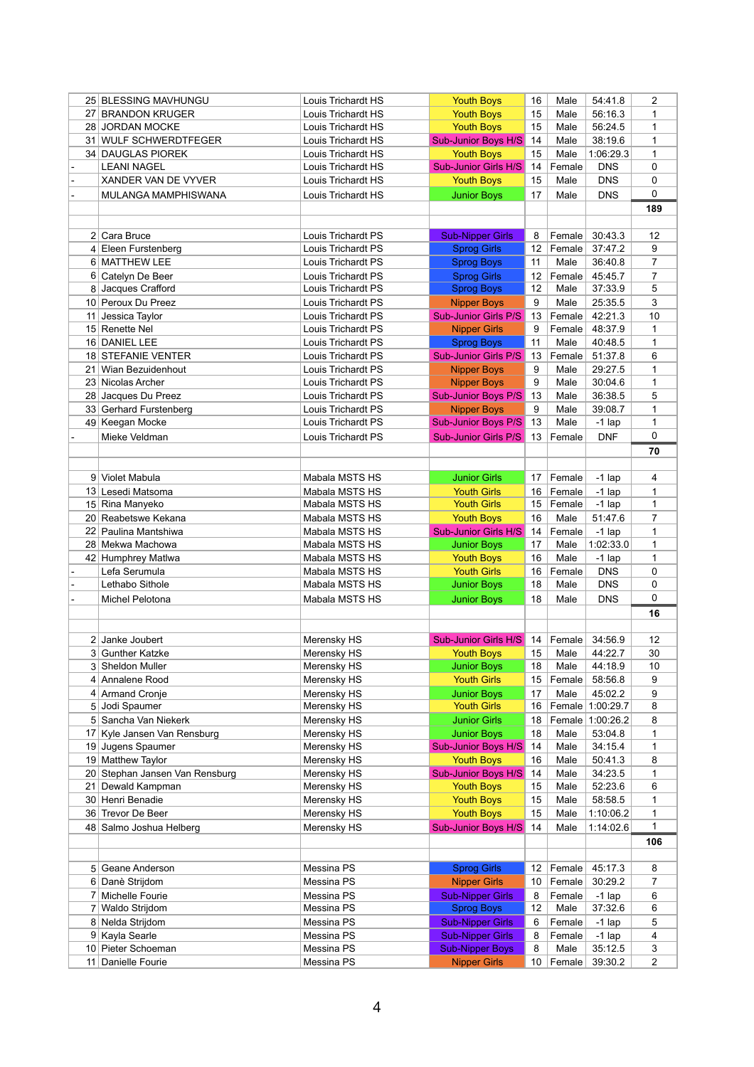|    | 25 BLESSING MAVHUNGU                     | Louis Trichardt HS        | <b>Youth Boys</b>                             | 16      | Male           | 54:41.8            | $\overline{2}$      |
|----|------------------------------------------|---------------------------|-----------------------------------------------|---------|----------------|--------------------|---------------------|
|    | 27 BRANDON KRUGER                        | Louis Trichardt HS        | <b>Youth Boys</b>                             | 15      | Male           | 56:16.3            | 1                   |
|    | 28 JORDAN MOCKE                          | Louis Trichardt HS        | <b>Youth Boys</b>                             | 15      | Male           | 56:24.5            | 1                   |
|    | 31 WULF SCHWERDTFEGER                    | Louis Trichardt HS        | <b>Sub-Junior Boys H/S</b>                    | 14      | Male           | 38:19.6            | 1                   |
|    | 34 DAUGLAS PIOREK                        | Louis Trichardt HS        | <b>Youth Boys</b>                             | 15      | Male           | 1:06:29.3          | 1                   |
|    | <b>LEANI NAGEL</b>                       | Louis Trichardt HS        | Sub-Junior Girls H/S                          | 14      | Female         | <b>DNS</b>         | 0                   |
|    | XANDER VAN DE VYVER                      | Louis Trichardt HS        | <b>Youth Boys</b>                             | 15      | Male           | <b>DNS</b>         | 0                   |
|    | MULANGA MAMPHISWANA                      | Louis Trichardt HS        | <b>Junior Boys</b>                            | 17      | Male           | <b>DNS</b>         | 0                   |
|    |                                          |                           |                                               |         |                |                    | 189                 |
|    |                                          |                           |                                               |         |                |                    |                     |
|    |                                          |                           |                                               |         |                |                    |                     |
|    | 2 Cara Bruce                             | <b>Louis Trichardt PS</b> | <b>Sub-Nipper Girls</b>                       | 8       | Female         | 30:43.3            | 12                  |
|    | 4 Eleen Furstenberg                      | Louis Trichardt PS        | <b>Sprog Girls</b>                            | 12      | Female         | 37:47.2            | 9                   |
|    | 6 MATTHEW LEE                            | Louis Trichardt PS        | <b>Sprog Boys</b>                             | 11      | Male           | 36:40.8            | 7                   |
|    | 6 Catelyn De Beer                        | Louis Trichardt PS        | <b>Sprog Girls</b>                            | 12      | Female         | 45:45.7            | 7                   |
|    | 8 Jacques Crafford                       | Louis Trichardt PS        | <b>Sprog Boys</b>                             | 12      | Male           | 37:33.9            | 5                   |
|    | 10 Peroux Du Preez                       | Louis Trichardt PS        | <b>Nipper Boys</b>                            | 9       | Male           | 25:35.5            | 3                   |
| 11 | Jessica Taylor                           | Louis Trichardt PS        | <b>Sub-Junior Girls P/S</b>                   | 13      | Female         | 42:21.3            | 10                  |
|    | 15 Renette Nel                           | Louis Trichardt PS        | <b>Nipper Girls</b>                           | 9       | Female         | 48:37.9            | 1                   |
|    | 16 DANIEL LEE                            | Louis Trichardt PS        | <b>Sprog Boys</b>                             | 11      | Male           | 40:48.5            | 1                   |
|    | 18 STEFANIE VENTER                       | Louis Trichardt PS        | <b>Sub-Junior Girls P/S</b>                   | 13      | Female         | 51:37.8            | 6                   |
| 21 | Wian Bezuidenhout                        | Louis Trichardt PS        | <b>Nipper Boys</b>                            | 9       | Male           | 29:27.5            | 1                   |
|    | 23 Nicolas Archer                        | Louis Trichardt PS        | <b>Nipper Boys</b>                            | 9       | Male           | 30:04.6            | 1                   |
|    | 28 Jacques Du Preez                      | Louis Trichardt PS        | <b>Sub-Junior Boys P/S</b>                    | 13      | Male           | 36:38.5            | 5                   |
|    | 33 Gerhard Furstenberg                   | Louis Trichardt PS        | <b>Nipper Boys</b>                            | 9       | Male           | 39:08.7            | 1                   |
|    |                                          | Louis Trichardt PS        | <b>Sub-Junior Boys P/S</b>                    | 13      |                |                    |                     |
|    | 49 Keegan Mocke                          |                           |                                               |         | Male           | $-1$ lap           | 1                   |
|    | Mieke Veldman                            | Louis Trichardt PS        | <b>Sub-Junior Girls P/S</b>                   | 13      | Female         | <b>DNF</b>         | $\Omega$            |
|    |                                          |                           |                                               |         |                |                    | 70                  |
|    |                                          |                           |                                               |         |                |                    |                     |
|    | 9 Violet Mabula                          | Mabala MSTS HS            | <b>Junior Girls</b>                           | 17      | Female         | $-1$ lap           | 4                   |
|    | 13 Lesedi Matsoma                        | Mabala MSTS HS            | <b>Youth Girls</b>                            | 16      | Female         | $-1$ lap           | 1                   |
|    | 15 Rina Manyeko                          | Mabala MSTS HS            | <b>Youth Girls</b>                            | 15      | Female         | $-1$ lap           | 1                   |
|    | 20 Reabetswe Kekana                      | Mabala MSTS HS            | <b>Youth Boys</b>                             | 16      | Male           | 51:47.6            | 7                   |
|    | 22 Paulina Mantshiwa                     | Mabala MSTS HS            | Sub-Junior Girls H/S 14   Female              |         |                | -1 lap             | $\mathbf{1}$        |
|    | 28 Mekwa Machowa                         | Mabala MSTS HS            | <b>Junior Boys</b>                            | 17      | Male           | 1:02:33.0          | 1                   |
|    | 42 Humphrey Matlwa                       | Mabala MSTS HS            | <b>Youth Boys</b>                             | 16      | Male           | $-1$ lap           | 1                   |
|    | Lefa Serumula                            | Mabala MSTS HS            | <b>Youth Girls</b>                            | 16      | Female         | <b>DNS</b>         | 0                   |
|    | Lethabo Sithole                          | Mabala MSTS HS            | <b>Junior Boys</b>                            | 18      | Male           | <b>DNS</b>         | 0                   |
|    | Michel Pelotona                          | Mabala MSTS HS            | <b>Junior Boys</b>                            | 18      | Male           | <b>DNS</b>         | 0                   |
|    |                                          |                           |                                               |         |                |                    | 16                  |
|    |                                          |                           |                                               |         |                |                    |                     |
|    | 2 Janke Joubert                          | Merensky HS               | <b>Sub-Junior Girls H/S</b>                   | 14      | Female         | 34:56.9            | 12                  |
|    | 3 Gunther Katzke                         | Merensky HS               | <b>Youth Boys</b>                             | 15      | Male           | 44:22.7            | 30                  |
|    | 3 Sheldon Muller                         | Merensky HS               | <b>Junior Boys</b>                            | 18      | Male           | 44:18.9            | 10                  |
|    | 4 Annalene Rood                          | Merensky HS               | <b>Youth Girls</b>                            | 15      | Female         | 58:56.8            | 9                   |
|    |                                          |                           |                                               |         |                |                    |                     |
|    | 4 Armand Cronje                          | Merensky HS               | <b>Junior Boys</b>                            | 17      | Male           | 45:02.2            | 9                   |
|    | 5 Jodi Spaumer                           | Merensky HS               | <b>Youth Girls</b>                            | 16      |                | Female 1:00:29.7   | 8                   |
|    | 5 Sancha Van Niekerk                     | Merensky HS               | <b>Junior Girls</b>                           | 18      |                | Female 1:00:26.2   | 8                   |
|    | 17 Kyle Jansen Van Rensburg              | Merensky HS               | <b>Junior Boys</b>                            | 18      | Male           | 53:04.8            | 1                   |
|    | 19 Jugens Spaumer                        | Merensky HS               | <b>Sub-Junior Boys H/S</b>                    | 14      | Male           | 34:15.4            | 1                   |
|    | 19 Matthew Taylor                        | Merensky HS               | <b>Youth Boys</b>                             | 16      | Male           | 50:41.3            | 8                   |
|    | 20 Stephan Jansen Van Rensburg           | Merensky HS               | <b>Sub-Junior Boys H/S</b>                    | 14      | Male           | 34:23.5            | 1                   |
| 21 | Dewald Kampman                           | Merensky HS               | <b>Youth Boys</b>                             | 15      | Male           | 52:23.6            | 6                   |
|    | 30 Henri Benadie                         | Merensky HS               | <b>Youth Boys</b>                             | 15      | Male           | 58:58.5            | 1                   |
|    | 36 Trevor De Beer                        | Merensky HS               | <b>Youth Boys</b>                             | 15      | Male           | 1:10:06.2          | 1                   |
|    | 48 Salmo Joshua Helberg                  | Merensky HS               | <b>Sub-Junior Boys H/S</b>                    | 14      | Male           | 1:14:02.6          | 1                   |
|    |                                          |                           |                                               |         |                |                    | 106                 |
|    |                                          |                           |                                               |         |                |                    |                     |
|    | 5 Geane Anderson                         | Messina PS                | <b>Sprog Girls</b>                            | 12      | Female         | 45:17.3            | 8                   |
|    | 6 Danè Strijdom                          | Messina PS                | <b>Nipper Girls</b>                           | 10      | Female         | 30:29.2            | 7                   |
|    | Michelle Fourie                          | Messina PS                | <b>Sub-Nipper Girls</b>                       | 8       | Female         | $-1$ lap           | 6                   |
|    | 7 Waldo Strijdom                         | Messina PS                | <b>Sprog Boys</b>                             | 12      | Male           | 37:32.6            | 6                   |
|    | 8 Nelda Strijdom                         | Messina PS                | <b>Sub-Nipper Girls</b>                       | 6       | Female         | $-1$ lap           | 5                   |
|    |                                          | Messina PS                | <b>Sub-Nipper Girls</b>                       | 8       | Female         | $-1$ lap           | 4                   |
|    |                                          |                           |                                               |         |                |                    |                     |
|    | 9 Kayla Searle                           |                           |                                               |         |                |                    |                     |
|    | 10 Pieter Schoeman<br>11 Danielle Fourie | Messina PS<br>Messina PS  | <b>Sub-Nipper Boys</b><br><b>Nipper Girls</b> | 8<br>10 | Male<br>Female | 35:12.5<br>39:30.2 | 3<br>$\overline{2}$ |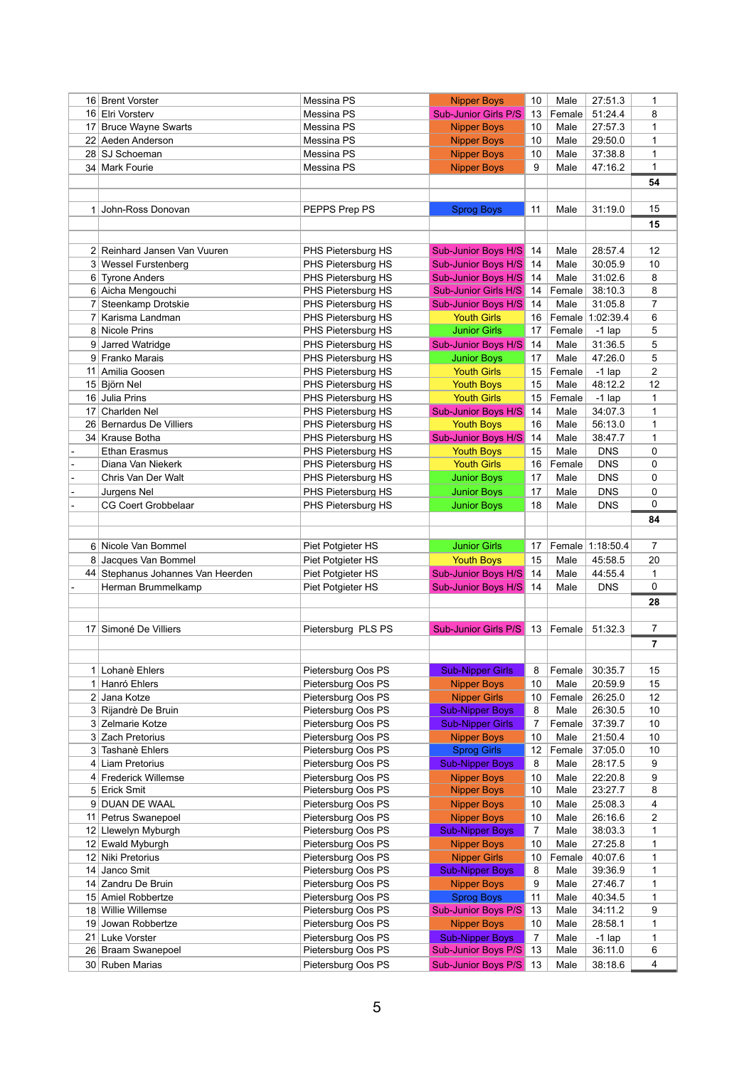|                 | 16 Brent Vorster                  | Messina PS         | <b>Nipper Boys</b>                      | 10       | Male           | 27:51.3             | 1              |
|-----------------|-----------------------------------|--------------------|-----------------------------------------|----------|----------------|---------------------|----------------|
|                 | 16 Elri Vorsterv                  | Messina PS         | <b>Sub-Junior Girls P/S</b>             | 13       | Female         | 51:24.4             | 8              |
| 17 <sup>1</sup> | <b>Bruce Wayne Swarts</b>         | Messina PS         | <b>Nipper Boys</b>                      | 10       | Male           | 27:57.3             | 1              |
|                 | 22 Aeden Anderson                 | Messina PS         | <b>Nipper Boys</b>                      | 10       | Male           | 29:50.0             | 1              |
|                 | 28 SJ Schoeman                    | Messina PS         | <b>Nipper Boys</b>                      | 10       | Male           | 37:38.8             | 1              |
|                 | 34 Mark Fourie                    | Messina PS         | <b>Nipper Boys</b>                      | 9        | Male           | 47:16.2             | 1              |
|                 |                                   |                    |                                         |          |                |                     | 54             |
|                 |                                   |                    |                                         |          |                |                     |                |
| 1 <sup>1</sup>  | John-Ross Donovan                 | PEPPS Prep PS      | <b>Sprog Boys</b>                       | 11       | Male           | 31:19.0             | 15             |
|                 |                                   |                    |                                         |          |                |                     | 15             |
|                 |                                   |                    |                                         |          |                |                     |                |
|                 | 2 Reinhard Jansen Van Vuuren      | PHS Pietersburg HS | Sub-Junior Boys H/S                     | 14       | Male           | 28:57.4             | 12             |
|                 | 3 Wessel Furstenberg              | PHS Pietersburg HS | <b>Sub-Junior Boys H/S</b>              | 14       | Male           | 30:05.9             | 10             |
|                 | 6 Tyrone Anders                   | PHS Pietersburg HS | <b>Sub-Junior Boys H/S</b>              | 14       | Male           | 31:02.6             | 8              |
|                 | 6 Aicha Mengouchi                 | PHS Pietersburg HS | <b>Sub-Junior Girls H/S</b>             | 14       | Female         | 38:10.3             | 8              |
|                 | Steenkamp Drotskie                | PHS Pietersburg HS | <b>Sub-Junior Boys H/S</b>              | 14       | Male           | 31:05.8             | 7              |
|                 | Karisma Landman                   | PHS Pietersburg HS | <b>Youth Girls</b>                      | 16       | Female         | 1:02:39.4           | 6              |
|                 | 8 Nicole Prins                    | PHS Pietersburg HS | <b>Junior Girls</b>                     | 17       | Female         | $-1$ lap            | 5              |
|                 | 9 Jarred Watridge                 | PHS Pietersburg HS | <b>Sub-Junior Boys H/S</b>              | 14       | Male           | 31:36.5             | 5              |
|                 | 9 Franko Marais                   | PHS Pietersburg HS | <b>Junior Boys</b>                      | 17       | Male           | 47:26.0             | 5              |
| 11              | Amilia Goosen                     | PHS Pietersburg HS |                                         |          |                |                     | $\overline{2}$ |
|                 | 15 Björn Nel                      | PHS Pietersburg HS | <b>Youth Girls</b><br><b>Youth Boys</b> | 15<br>15 | Female<br>Male | $-1$ lap<br>48:12.2 | 12             |
| 16              |                                   |                    | <b>Youth Girls</b>                      |          |                |                     |                |
|                 | Julia Prins                       | PHS Pietersburg HS |                                         | 15       | Female         | $-1$ lap            | 1              |
| 17              | Charlden Nel                      | PHS Pietersburg HS | <b>Sub-Junior Boys H/S</b>              | 14       | Male           | 34:07.3             | 1              |
|                 | 26 Bernardus De Villiers          | PHS Pietersburg HS | <b>Youth Boys</b>                       | 16       | Male           | 56:13.0             | 1              |
|                 | 34 Krause Botha                   | PHS Pietersburg HS | <b>Sub-Junior Boys H/S</b>              | 14       | Male           | 38:47.7             | 1              |
|                 | <b>Ethan Erasmus</b>              | PHS Pietersburg HS | <b>Youth Boys</b>                       | 15       | Male           | <b>DNS</b>          | 0              |
|                 | Diana Van Niekerk                 | PHS Pietersburg HS | <b>Youth Girls</b>                      | 16       | Female         | <b>DNS</b>          | 0              |
|                 | Chris Van Der Walt                | PHS Pietersburg HS | <b>Junior Boys</b>                      | 17       | Male           | <b>DNS</b>          | 0              |
|                 | Jurgens Nel                       | PHS Pietersburg HS | <b>Junior Boys</b>                      | 17       | Male           | <b>DNS</b>          | 0              |
|                 | <b>CG Coert Grobbelaar</b>        | PHS Pietersburg HS | <b>Junior Boys</b>                      | 18       | Male           | <b>DNS</b>          | 0              |
|                 |                                   |                    |                                         |          |                |                     | 84             |
|                 |                                   |                    |                                         |          |                |                     |                |
|                 |                                   |                    |                                         |          |                |                     |                |
|                 | 6 Nicole Van Bommel               | Piet Potgieter HS  | <b>Junior Girls</b>                     | 17       |                | Female 1:18:50.4    | 7              |
|                 | 8 Jacques Van Bommel              | Piet Potgieter HS  | <b>Youth Boys</b>                       | 15       | Male           | 45:58.5             | 20             |
|                 | 44 Stephanus Johannes Van Heerden | Piet Potgieter HS  | <b>Sub-Junior Boys H/S</b>              | 14       | Male           | 44:55.4             | 1              |
|                 | Herman Brummelkamp                | Piet Potgieter HS  | <b>Sub-Junior Boys H/S</b>              | 14       | Male           | <b>DNS</b>          | 0              |
|                 |                                   |                    |                                         |          |                |                     | 28             |
|                 |                                   |                    |                                         |          |                |                     |                |
| 17 <sup>1</sup> | Simoné De Villiers                | Pietersburg PLS PS | <b>Sub-Junior Girls P/S</b>             | 13       | Female         | 51:32.3             | $\overline{7}$ |
|                 |                                   |                    |                                         |          |                |                     | 7              |
|                 |                                   |                    |                                         |          |                |                     |                |
| 1 <sup>1</sup>  | Lohanè Ehlers                     | Pietersburg Oos PS | <b>Sub-Nipper Girls</b>                 | 8        | Female         | 30:35.7             | 15             |
| 1 <sup>1</sup>  | Hanró Ehlers                      | Pietersburg Oos PS | <b>Nipper Boys</b>                      | 10       | Male           | 20:59.9             | 15             |
|                 | 2 Jana Kotze                      | Pietersburg Oos PS | <b>Nipper Girls</b>                     | 10       | Female         | 26:25.0             | 12             |
|                 | 3 Rijandrè De Bruin               | Pietersburg Oos PS | <b>Sub-Nipper Boys</b>                  | 8        | Male           | 26:30.5             | 10             |
|                 | 3 Zelmarie Kotze                  | Pietersburg Oos PS | <b>Sub-Nipper Girls</b>                 | 7        | Female         | 37:39.7             | 10             |
| 3 <sup>1</sup>  | Zach Pretorius                    | Pietersburg Oos PS | <b>Nipper Boys</b>                      | 10       | Male           | 21:50.4             | 10             |
|                 | 3 Tashanè Ehlers                  | Pietersburg Oos PS | <b>Sprog Girls</b>                      | 12       | Female         | 37:05.0             | 10             |
| 41              | Liam Pretorius                    | Pietersburg Oos PS | <b>Sub-Nipper Boys</b>                  | 8        | Male           | 28:17.5             | 9              |
|                 | 4 Frederick Willemse              | Pietersburg Oos PS | <b>Nipper Boys</b>                      | 10       | Male           | 22:20.8             | 9              |
|                 | 5 Erick Smit                      | Pietersburg Oos PS | <b>Nipper Boys</b>                      | 10       | Male           | 23:27.7             | 8              |
|                 | 9 DUAN DE WAAL                    | Pietersburg Oos PS | <b>Nipper Boys</b>                      | 10       | Male           | 25:08.3             | 4              |
| 11              | Petrus Swanepoel                  | Pietersburg Oos PS | <b>Nipper Boys</b>                      | 10       | Male           | 26:16.6             | 2              |
|                 | 12 Llewelyn Myburgh               | Pietersburg Oos PS | <b>Sub-Nipper Boys</b>                  | 7        | Male           | 38:03.3             | 1              |
| 12              | Ewald Myburgh                     | Pietersburg Oos PS | <b>Nipper Boys</b>                      | 10       | Male           | 27:25.8             | 1              |
| 12              | Niki Pretorius                    | Pietersburg Oos PS | <b>Nipper Girls</b>                     | 10       | Female         | 40:07.6             | 1              |
| 14              | Janco Smit                        | Pietersburg Oos PS | <b>Sub-Nipper Boys</b>                  | 8        | Male           | 39:36.9             | 1              |
| 14              | Zandru De Bruin                   | Pietersburg Oos PS | <b>Nipper Boys</b>                      | 9        | Male           | 27:46.7             | 1              |
|                 | 15 Amiel Robbertze                | Pietersburg Oos PS | <b>Sprog Boys</b>                       | 11       | Male           | 40:34.5             | 1              |
|                 | 18 Willie Willemse                | Pietersburg Oos PS | <b>Sub-Junior Boys P/S</b>              | 13       | Male           | 34:11.2             | 9              |
|                 | 19 Jowan Robbertze                | Pietersburg Oos PS | <b>Nipper Boys</b>                      | 10       | Male           | 28:58.1             | 1              |
| 21              | Luke Vorster                      | Pietersburg Oos PS | <b>Sub-Nipper Boys</b>                  | 7        | Male           | $-1$ lap            | 1              |
|                 | 26 Braam Swanepoel                | Pietersburg Oos PS | <b>Sub-Junior Boys P/S</b>              | 13       | Male           | 36:11.0             | 6              |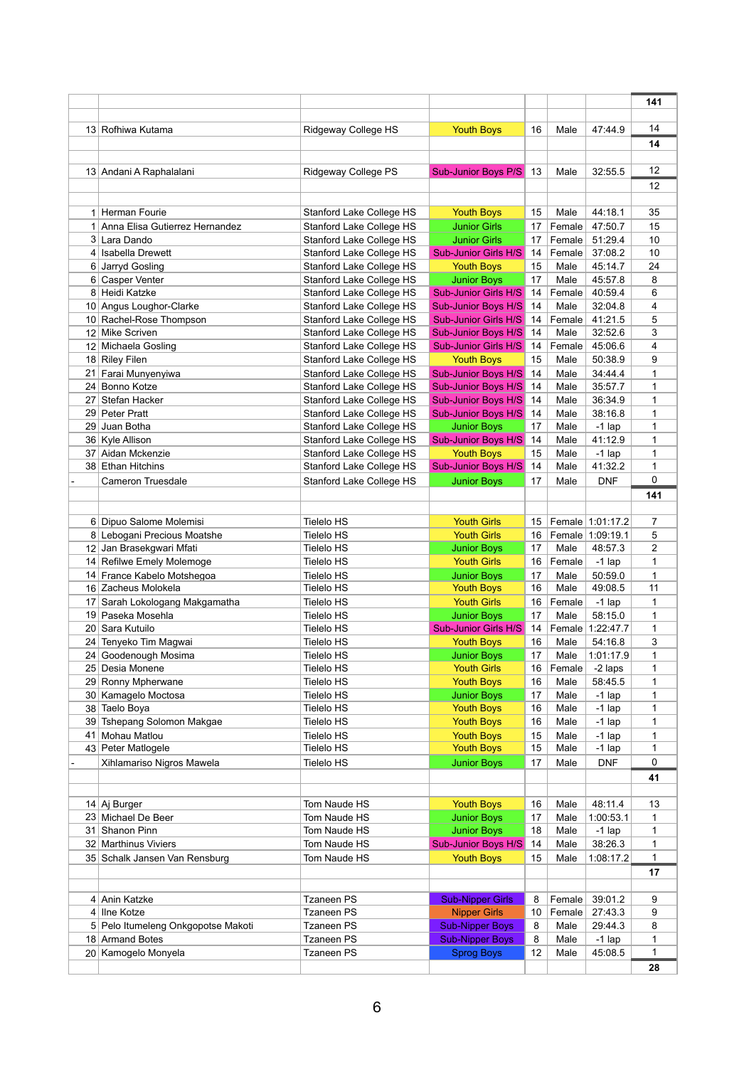|    |                                                     |                                                                    |                                                    |          |                  |                      | 141          |
|----|-----------------------------------------------------|--------------------------------------------------------------------|----------------------------------------------------|----------|------------------|----------------------|--------------|
|    |                                                     |                                                                    |                                                    |          |                  |                      |              |
|    | 13 Rofhiwa Kutama                                   | Ridgeway College HS                                                | <b>Youth Boys</b>                                  | 16       | Male             | 47:44.9              | 14           |
|    |                                                     |                                                                    |                                                    |          |                  |                      | 14           |
|    |                                                     |                                                                    |                                                    |          |                  |                      |              |
|    | 13 Andani A Raphalalani                             | Ridgeway College PS                                                | <b>Sub-Junior Boys P/S</b>                         | 13       | Male             | 32:55.5              | 12           |
|    |                                                     |                                                                    |                                                    |          |                  |                      | 12           |
|    |                                                     |                                                                    |                                                    |          |                  |                      |              |
|    | 1 Herman Fourie<br>1 Anna Elisa Gutierrez Hernandez | <b>Stanford Lake College HS</b>                                    | <b>Youth Boys</b><br><b>Junior Girls</b>           | 15       | Male             | 44:18.1<br>47:50.7   | 35           |
|    |                                                     | Stanford Lake College HS                                           |                                                    | 17       | Female           |                      | 15           |
|    | 3 Lara Dando<br>4 Isabella Drewett                  | <b>Stanford Lake College HS</b><br><b>Stanford Lake College HS</b> | <b>Junior Girls</b><br><b>Sub-Junior Girls H/S</b> | 17<br>14 | Female<br>Female | 51:29.4<br>37:08.2   | 10<br>10     |
| 6  | Jarryd Gosling                                      | <b>Stanford Lake College HS</b>                                    | <b>Youth Boys</b>                                  | 15       | Male             | 45:14.7              | 24           |
|    | 6 Casper Venter                                     | <b>Stanford Lake College HS</b>                                    | <b>Junior Boys</b>                                 | 17       | Male             | 45:57.8              | 8            |
|    | 8 Heidi Katzke                                      | <b>Stanford Lake College HS</b>                                    | <b>Sub-Junior Girls H/S</b>                        | 14       | Female           | 40:59.4              | 6            |
|    | 10 Angus Loughor-Clarke                             | Stanford Lake College HS                                           | <b>Sub-Junior Boys H/S</b>                         | 14       | Male             | 32:04.8              | 4            |
|    | 10 Rachel-Rose Thompson                             | <b>Stanford Lake College HS</b>                                    | <b>Sub-Junior Girls H/S</b>                        | 14       | Female           | 41:21.5              | 5            |
|    | 12 Mike Scriven                                     | Stanford Lake College HS                                           | <b>Sub-Junior Boys H/S</b>                         | 14       | Male             | 32:52.6              | 3            |
|    | 12 Michaela Gosling                                 | <b>Stanford Lake College HS</b>                                    | <b>Sub-Junior Girls H/S</b>                        | 14       | Female           | 45:06.6              | 4            |
|    | 18 Riley Filen                                      | <b>Stanford Lake College HS</b>                                    | <b>Youth Boys</b>                                  | 15       | Male             | 50:38.9              | 9            |
| 21 | Farai Munyenyiwa                                    | <b>Stanford Lake College HS</b>                                    | <b>Sub-Junior Boys H/S</b>                         | 14       | Male             | 34:44.4              | 1            |
|    | 24 Bonno Kotze                                      | <b>Stanford Lake College HS</b>                                    | <b>Sub-Junior Boys H/S</b>                         | 14       | Male             | 35:57.7              | 1            |
| 27 | Stefan Hacker                                       | Stanford Lake College HS                                           | <b>Sub-Junior Boys H/S</b>                         | 14       | Male             | 36:34.9              | 1            |
|    | 29 Peter Pratt                                      | <b>Stanford Lake College HS</b>                                    | <b>Sub-Junior Boys H/S</b>                         | 14       | Male             | 38:16.8              | 1            |
| 29 | ∣ Juan Botha                                        | <b>Stanford Lake College HS</b>                                    | <b>Junior Boys</b>                                 | 17       | Male             | $-1$ lap             | 1            |
|    | 36 Kyle Allison                                     | <b>Stanford Lake College HS</b>                                    | <b>Sub-Junior Boys H/S</b>                         | 14       | Male             | 41:12.9              | 1            |
|    | 37 Aidan Mckenzie                                   | Stanford Lake College HS                                           | <b>Youth Boys</b>                                  | 15       | Male             | $-1$ lap             | 1            |
|    | 38 Ethan Hitchins                                   | Stanford Lake College HS                                           | <b>Sub-Junior Boys H/S</b>                         | 14       | Male             | 41:32.2              | 1            |
|    | <b>Cameron Truesdale</b>                            | <b>Stanford Lake College HS</b>                                    | <b>Junior Boys</b>                                 | 17       | Male             | <b>DNF</b>           | 0            |
|    |                                                     |                                                                    |                                                    |          |                  |                      | 141          |
|    |                                                     |                                                                    |                                                    |          |                  |                      |              |
|    | 6 Dipuo Salome Molemisi                             | <b>Tielelo HS</b>                                                  | <b>Youth Girls</b>                                 | 15       |                  | Female 1:01:17.2     | 7            |
|    | 8 Lebogani Precious Moatshe                         | <b>Tielelo HS</b>                                                  | <b>Youth Girls</b>                                 | 16       |                  | Female 1:09:19.1     | 5            |
|    | 12 Jan Brasekgwari Mfati                            | <b>Tielelo HS</b>                                                  | <b>Junior Boys</b>                                 | 17       | Male             | 48:57.3              | 2            |
|    | 14 Refilwe Emely Molemoge                           | <b>Tielelo HS</b>                                                  | <b>Youth Girls</b>                                 | 16       | Female           | $-1$ lap             | 1            |
|    | 14 France Kabelo Motshegoa                          | <b>Tielelo HS</b>                                                  | <b>Junior Boys</b>                                 | 17       | Male             | 50:59.0              | 1            |
|    | 16 Zacheus Molokela                                 | <b>Tielelo HS</b>                                                  | <b>Youth Boys</b>                                  | 16       | Male             | 49:08.5              | 11           |
| 17 | Sarah Lokologang Makgamatha                         | <b>Tielelo HS</b>                                                  | <b>Youth Girls</b>                                 | 16       | Female           | $-1$ lap             | 1            |
|    | 19 Paseka Mosehla                                   | <b>Tielelo HS</b>                                                  | <b>Junior Boys</b>                                 | 17       | Male             | 58:15.0              | 1            |
|    | 20 Sara Kutuilo                                     | <b>Tielelo HS</b>                                                  | <b>Sub-Junior Girls H/S</b>                        | 14       | Female           | 1:22:47.7            | 1            |
|    | 24 Tenyeko Tim Magwai                               | <b>Tielelo HS</b>                                                  | <b>Youth Boys</b>                                  | 16       | Male             | 54:16.8              | 3            |
| 24 | Goodenough Mosima                                   | <b>Tielelo HS</b>                                                  | <b>Junior Boys</b>                                 | 17       | Male             | 1:01:17.9            | 1            |
|    | 25 Desia Monene                                     | <b>Tielelo HS</b>                                                  | <b>Youth Girls</b>                                 | 16       | Female           | -2 laps              | 1            |
|    | 29 Ronny Mpherwane                                  | <b>Tielelo HS</b>                                                  | <b>Youth Boys</b>                                  | 16       | Male             | 58:45.5              | 1            |
|    | 30 Kamagelo Moctosa                                 | <b>Tielelo HS</b>                                                  | <b>Junior Boys</b>                                 | 17<br>16 | Male<br>Male     | $-1$ lap             | 1            |
| 38 | Taelo Boya<br>39 Tshepang Solomon Makgae            | <b>Tielelo HS</b><br><b>Tielelo HS</b>                             | <b>Youth Boys</b><br><b>Youth Boys</b>             | 16       | Male             | $-1$ lap<br>$-1$ lap | 1<br>1       |
| 41 | Mohau Matlou                                        | <b>Tielelo HS</b>                                                  | <b>Youth Boys</b>                                  | 15       | Male             | $-1$ lap             | 1            |
|    | 43 Peter Matlogele                                  | <b>Tielelo HS</b>                                                  | <b>Youth Boys</b>                                  | 15       | Male             | $-1$ lap             | 1            |
|    | Xihlamariso Nigros Mawela                           | <b>Tielelo HS</b>                                                  | <b>Junior Boys</b>                                 | 17       | Male             | <b>DNF</b>           | 0            |
|    |                                                     |                                                                    |                                                    |          |                  |                      | 41           |
|    |                                                     |                                                                    |                                                    |          |                  |                      |              |
|    | 14 Aj Burger                                        | Tom Naude HS                                                       | <b>Youth Boys</b>                                  | 16       | Male             | 48:11.4              | 13           |
|    | 23 Michael De Beer                                  | Tom Naude HS                                                       | <b>Junior Boys</b>                                 | 17       | Male             | 1:00:53.1            | 1            |
| 31 | Shanon Pinn                                         | Tom Naude HS                                                       | <b>Junior Boys</b>                                 | 18       | Male             | $-1$ lap             | 1            |
|    | 32 Marthinus Viviers                                | Tom Naude HS                                                       | <b>Sub-Junior Boys H/S</b>                         | 14       | Male             | 38:26.3              | 1            |
|    | 35 Schalk Jansen Van Rensburg                       | Tom Naude HS                                                       | <b>Youth Boys</b>                                  | 15       | Male             | 1:08:17.2            | $\mathbf{1}$ |
|    |                                                     |                                                                    |                                                    |          |                  |                      | 17           |
|    |                                                     |                                                                    |                                                    |          |                  |                      |              |
|    | 4 Anin Katzke                                       | <b>Tzaneen PS</b>                                                  | <b>Sub-Nipper Girls</b>                            | 8        | Female           | 39:01.2              | 9            |
|    | 4 Ilne Kotze                                        | <b>Tzaneen PS</b>                                                  | <b>Nipper Girls</b>                                | 10       | Female           | 27:43.3              | 9            |
|    | 5 Pelo Itumeleng Onkgopotse Makoti                  | <b>Tzaneen PS</b>                                                  | <b>Sub-Nipper Boys</b>                             | 8        | Male             | 29:44.3              | 8            |
|    | 18 Armand Botes                                     | <b>Tzaneen PS</b>                                                  | <b>Sub-Nipper Boys</b>                             | 8        | Male             | $-1$ lap             | 1            |
|    | 20 Kamogelo Monyela                                 | <b>Tzaneen PS</b>                                                  | <b>Sprog Boys</b>                                  | 12       | Male             | 45:08.5              | 1            |
|    |                                                     |                                                                    |                                                    |          |                  |                      | 28           |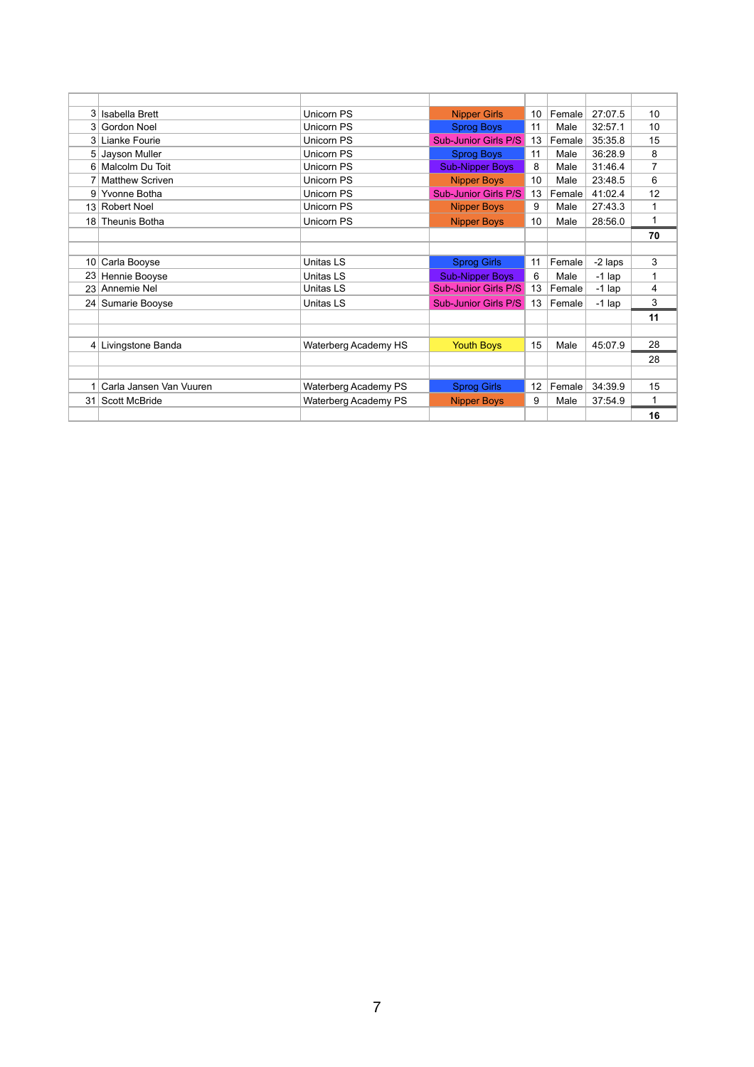|                 | 3 Isabella Brett        | <b>Unicorn PS</b>           | <b>Nipper Girls</b>         | 10 | Female | 27:07.5  | 10             |
|-----------------|-------------------------|-----------------------------|-----------------------------|----|--------|----------|----------------|
| 3 <sup>1</sup>  | <b>Gordon Noel</b>      | <b>Unicorn PS</b>           | <b>Sprog Boys</b>           | 11 | Male   | 32:57.1  | 10             |
| 3 <sup>1</sup>  | Lianke Fourie           | <b>Unicorn PS</b>           | <b>Sub-Junior Girls P/S</b> | 13 | Female | 35:35.8  | 15             |
| 5               | Jayson Muller           | Unicorn PS                  | <b>Sprog Boys</b>           | 11 | Male   | 36:28.9  | 8              |
|                 | 6 Malcolm Du Toit       | <b>Unicorn PS</b>           | <b>Sub-Nipper Boys</b>      | 8  | Male   | 31:46.4  | $\overline{7}$ |
|                 | <b>Matthew Scriven</b>  | <b>Unicorn PS</b>           | <b>Nipper Boys</b>          | 10 | Male   | 23:48.5  | 6              |
| 91              | Yvonne Botha            | Unicorn PS                  | <b>Sub-Junior Girls P/S</b> | 13 | Female | 41:02.4  | 12             |
|                 | 13 Robert Noel          | <b>Unicorn PS</b>           | <b>Nipper Boys</b>          | 9  | Male   | 27:43.3  | $\mathbf{1}$   |
|                 | 18 Theunis Botha        | <b>Unicorn PS</b>           | <b>Nipper Boys</b>          | 10 | Male   | 28:56.0  | 1              |
|                 |                         |                             |                             |    |        |          | 70             |
|                 |                         |                             |                             |    |        |          |                |
| 10 <sup>1</sup> | Carla Booyse            | <b>Unitas LS</b>            | <b>Sprog Girls</b>          | 11 | Female | -2 laps  | 3              |
| 23 <sub>1</sub> | Hennie Booyse           | <b>Unitas LS</b>            | <b>Sub-Nipper Boys</b>      | 6  | Male   | $-1$ lap | 1              |
| 23              | Annemie Nel             | <b>Unitas LS</b>            | <b>Sub-Junior Girls P/S</b> | 13 | Female | $-1$ lap | 4              |
| 241             | Sumarie Booyse          | <b>Unitas LS</b>            | <b>Sub-Junior Girls P/S</b> | 13 | Female | $-1$ lap | 3              |
|                 |                         |                             |                             |    |        |          | 11             |
|                 |                         |                             |                             |    |        |          |                |
|                 | 4 Livingstone Banda     | Waterberg Academy HS        | <b>Youth Boys</b>           | 15 | Male   | 45:07.9  | 28             |
|                 |                         |                             |                             |    |        |          | 28             |
|                 |                         |                             |                             |    |        |          |                |
| 1 <sup>1</sup>  | Carla Jansen Van Vuuren | <b>Waterberg Academy PS</b> | <b>Sprog Girls</b>          | 12 | Female | 34:39.9  | 15             |
|                 | 31 Scott McBride        | Waterberg Academy PS        | <b>Nipper Boys</b>          | 9  | Male   | 37:54.9  | 1              |
|                 |                         |                             |                             |    |        |          | 16             |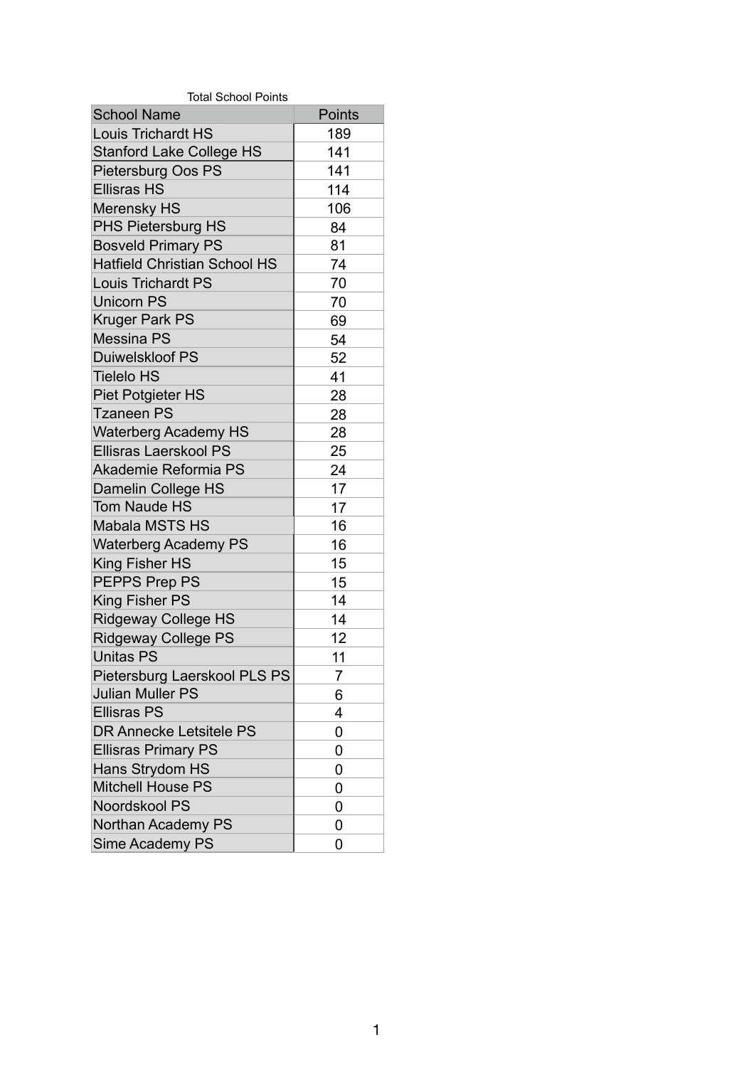| <b>Total School Points</b>          |                |  |  |  |  |  |
|-------------------------------------|----------------|--|--|--|--|--|
| <b>School Name</b>                  | <b>Points</b>  |  |  |  |  |  |
| <b>Louis Trichardt HS</b>           | 189            |  |  |  |  |  |
| <b>Stanford Lake College HS</b>     | 141            |  |  |  |  |  |
| <b>Pietersburg Oos PS</b>           | 141            |  |  |  |  |  |
| <b>Ellisras HS</b>                  | 114            |  |  |  |  |  |
| Merensky HS                         | 106            |  |  |  |  |  |
| <b>PHS Pietersburg HS</b>           | 84             |  |  |  |  |  |
| <b>Bosveld Primary PS</b>           | 81             |  |  |  |  |  |
| <b>Hatfield Christian School HS</b> | 74             |  |  |  |  |  |
| <b>Louis Trichardt PS</b>           | 70             |  |  |  |  |  |
| <b>Unicorn PS</b>                   | 70             |  |  |  |  |  |
| Kruger Park PS                      | 69             |  |  |  |  |  |
| <b>Messina PS</b>                   | 54             |  |  |  |  |  |
| <b>Duiwelskloof PS</b>              | 52             |  |  |  |  |  |
| <b>Tielelo HS</b>                   | 41             |  |  |  |  |  |
| Piet Potgieter HS                   | 28             |  |  |  |  |  |
| <b>Tzaneen PS</b>                   | 28             |  |  |  |  |  |
| <b>Waterberg Academy HS</b>         | 28             |  |  |  |  |  |
| <b>Ellisras Laerskool PS</b>        | 25             |  |  |  |  |  |
| <b>Akademie Reformia PS</b>         | 24             |  |  |  |  |  |
| <b>Damelin College HS</b>           | 17             |  |  |  |  |  |
| <b>Tom Naude HS</b>                 | 17             |  |  |  |  |  |
| Mabala MSTS HS                      | 16             |  |  |  |  |  |
| Waterberg Academy PS                | 16             |  |  |  |  |  |
| King Fisher HS                      | 15             |  |  |  |  |  |
| PEPPS Prep PS                       | 15             |  |  |  |  |  |
| King Fisher PS                      | 14             |  |  |  |  |  |
| <b>Ridgeway College HS</b>          | 14             |  |  |  |  |  |
| <b>Ridgeway College PS</b>          | 12             |  |  |  |  |  |
| <b>Unitas PS</b>                    | 11             |  |  |  |  |  |
| Pietersburg Laerskool PLS PS        | $\overline{7}$ |  |  |  |  |  |
| <b>Julian Muller PS</b>             | 6              |  |  |  |  |  |
| <b>Ellisras PS</b>                  | 4              |  |  |  |  |  |
| DR Annecke Letsitele PS             | 0              |  |  |  |  |  |
| Ellisras Primary PS                 | 0              |  |  |  |  |  |
| <b>Hans Strydom HS</b>              | 0              |  |  |  |  |  |
| <b>Mitchell House PS</b>            | 0              |  |  |  |  |  |
| Noordskool PS                       | 0              |  |  |  |  |  |

| Northan Academy PS |  |
|--------------------|--|
| Sime Academy PS    |  |

1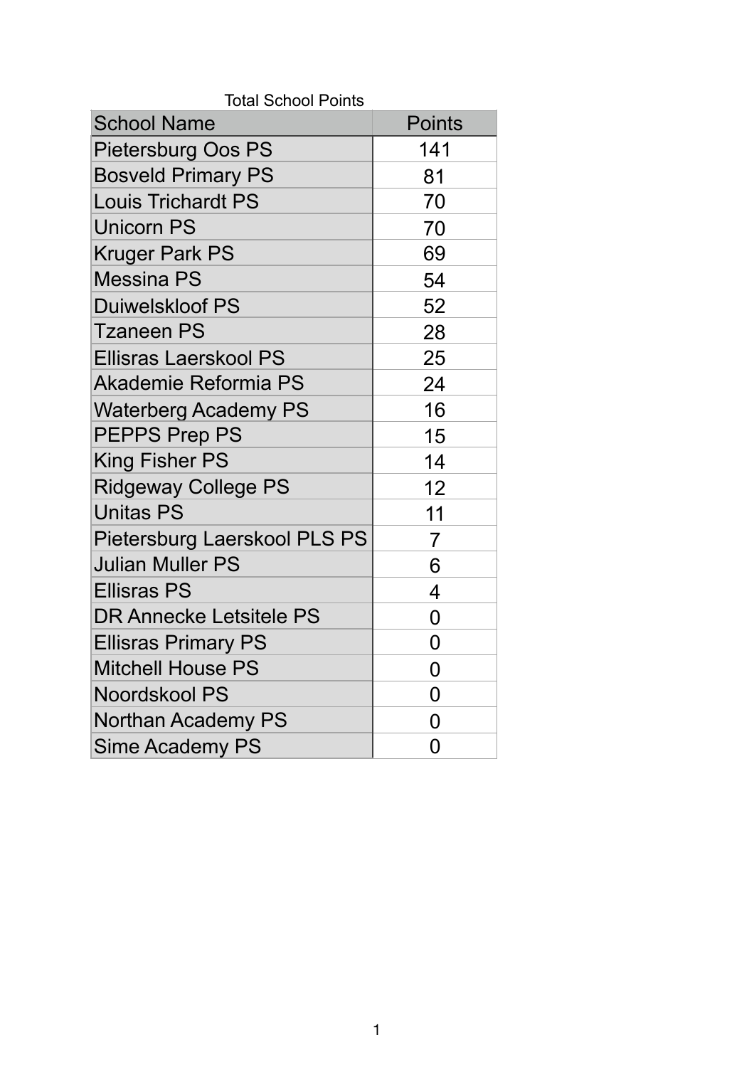| <b>Total School Points</b><br><b>School Name</b> | <b>Points</b>  |
|--------------------------------------------------|----------------|
|                                                  | 141            |
| Pietersburg Oos PS                               |                |
| <b>Bosveld Primary PS</b>                        | 81             |
| <b>Louis Trichardt PS</b>                        | 70             |
| <b>Unicorn PS</b>                                | 70             |
| <b>Kruger Park PS</b>                            | 69             |
| <b>Messina PS</b>                                | 54             |
| <b>Duiwelskloof PS</b>                           | 52             |
| <b>Tzaneen PS</b>                                | 28             |
| <b>Ellisras Laerskool PS</b>                     | 25             |
| <b>Akademie Reformia PS</b>                      | 24             |
| <b>Waterberg Academy PS</b>                      | 16             |
| <b>PEPPS Prep PS</b>                             | 15             |
| <b>King Fisher PS</b>                            | 14             |
| <b>Ridgeway College PS</b>                       | 12             |
| <b>Unitas PS</b>                                 | 11             |
| Pietersburg Laerskool PLS PS                     | $\overline{7}$ |
| <b>Julian Muller PS</b>                          | 6              |
| <b>Ellisras PS</b>                               | 4              |
| <b>DR Annecke Letsitele PS</b>                   | 0              |
| <b>Ellisras Primary PS</b>                       | 0              |
| Mitchell House PS                                | 0              |
| Noordskool PS                                    | 0              |
| <b>Northan Academy PS</b>                        | 0              |
| <b>Sime Academy PS</b>                           | 0              |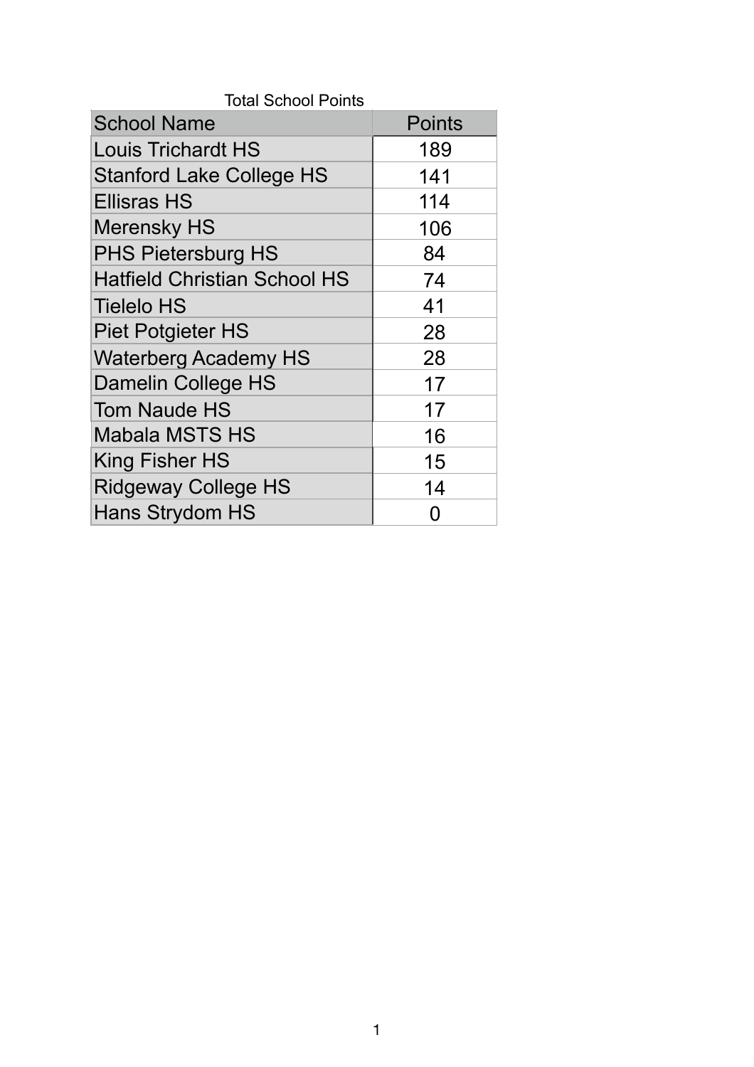| <b>School Name</b>                  | <b>Points</b> |
|-------------------------------------|---------------|
| <b>Louis Trichardt HS</b>           | 189           |
| <b>Stanford Lake College HS</b>     | 141           |
| <b>Ellisras HS</b>                  | 114           |
| Merensky HS                         | 106           |
| <b>PHS Pietersburg HS</b>           | 84            |
| <b>Hatfield Christian School HS</b> | 74            |
| <b>Tielelo HS</b>                   | 41            |
| <b>Piet Potgieter HS</b>            | 28            |
| <b>Waterberg Academy HS</b>         | 28            |
| <b>Damelin College HS</b>           | 17            |
| <b>Tom Naude HS</b>                 | 17            |
| <b>Mabala MSTS HS</b>               | 16            |
| <b>King Fisher HS</b>               | 15            |
| <b>Ridgeway College HS</b>          | 14            |
| <b>Hans Strydom HS</b>              | O             |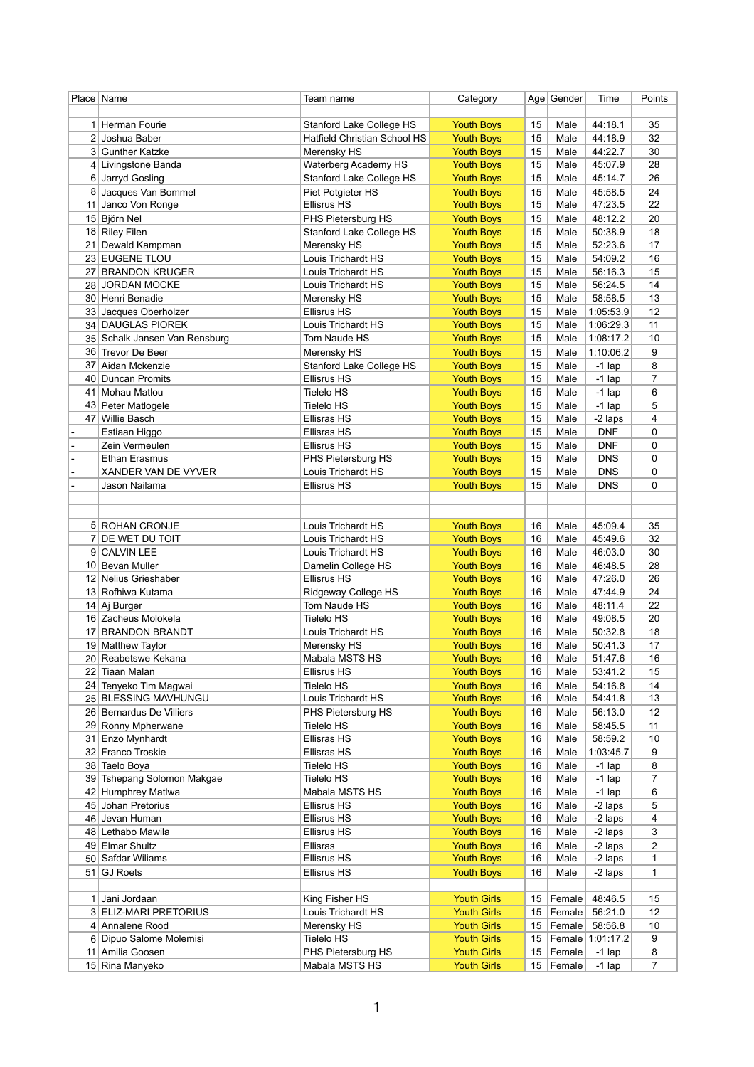|                 | Place   Name                            | Team name                                      | Category                               |          | Age Gender   | Time                        | Points              |
|-----------------|-----------------------------------------|------------------------------------------------|----------------------------------------|----------|--------------|-----------------------------|---------------------|
|                 |                                         |                                                |                                        |          |              |                             |                     |
|                 | 1 Herman Fourie                         | Stanford Lake College HS                       | <b>Youth Boys</b>                      | 15       | Male         | 44:18.1                     | 35                  |
| 2               | Joshua Baber                            | <b>Hatfield Christian School HS</b>            | <b>Youth Boys</b>                      | 15       | Male         | 44:18.9                     | 32                  |
|                 | 3 Gunther Katzke<br>4 Livingstone Banda | Merensky HS<br>Waterberg Academy HS            | <b>Youth Boys</b><br><b>Youth Boys</b> | 15<br>15 | Male<br>Male | 44:22.7<br>45:07.9          | 30<br>28            |
|                 | 6 Jarryd Gosling                        | <b>Stanford Lake College HS</b>                | <b>Youth Boys</b>                      | 15       | Male         | 45:14.7                     | 26                  |
| 8               | Jacques Van Bommel                      | Piet Potgieter HS                              | <b>Youth Boys</b>                      | 15       | Male         | 45:58.5                     | 24                  |
| 11              | Janco Von Ronge                         | <b>Ellisrus HS</b>                             | <b>Youth Boys</b>                      | 15       | Male         | 47:23.5                     | 22                  |
|                 | 15 Björn Nel                            | PHS Pietersburg HS                             | <b>Youth Boys</b>                      | 15       | Male         | 48:12.2                     | 20                  |
|                 | 18 Riley Filen                          | <b>Stanford Lake College HS</b>                | <b>Youth Boys</b>                      | 15       | Male         | 50:38.9                     | 18                  |
| 21              | Dewald Kampman                          | Merensky HS                                    | <b>Youth Boys</b>                      | 15       | Male         | 52:23.6                     | 17                  |
|                 | 23 EUGENE TLOU                          | Louis Trichardt HS                             | <b>Youth Boys</b>                      | 15       | Male         | 54:09.2                     | 16                  |
|                 | 27 BRANDON KRUGER                       | Louis Trichardt HS                             | <b>Youth Boys</b>                      | 15       | Male         | 56:16.3                     | 15                  |
|                 | 28 JORDAN MOCKE                         | Louis Trichardt HS                             | <b>Youth Boys</b>                      | 15       | Male         | 56:24.5                     | 14                  |
|                 | 30 Henri Benadie                        | Merensky HS                                    | <b>Youth Boys</b>                      | 15       | Male         | 58:58.5                     | 13                  |
| 33              | Jacques Oberholzer                      | <b>Ellisrus HS</b>                             | <b>Youth Boys</b>                      | 15       | Male         | 1:05:53.9                   | 12                  |
|                 | 34 DAUGLAS PIOREK                       | Louis Trichardt HS                             | <b>Youth Boys</b>                      | 15       | Male         | 1:06:29.3                   | 11                  |
|                 | 35 Schalk Jansen Van Rensburg           | Tom Naude HS                                   | <b>Youth Boys</b>                      | 15       | Male         | 1:08:17.2                   | 10                  |
|                 | 36 Trevor De Beer                       | Merensky HS                                    | <b>Youth Boys</b>                      | 15       | Male         | 1:10:06.2                   | 9                   |
| 37<br>40        | Aidan Mckenzie<br><b>Duncan Promits</b> | Stanford Lake College HS<br><b>Ellisrus HS</b> | <b>Youth Boys</b><br><b>Youth Boys</b> | 15<br>15 | Male<br>Male | $-1$ lap<br>$-1$ lap        | 8<br>7              |
| 41              | Mohau Matlou                            | <b>Tielelo HS</b>                              | <b>Youth Boys</b>                      | 15       | Male         | $-1$ lap                    | 6                   |
|                 | 43 Peter Matlogele                      | <b>Tielelo HS</b>                              | <b>Youth Boys</b>                      | 15       | Male         | $-1$ lap                    | 5                   |
|                 | 47 Willie Basch                         | Ellisras HS                                    | <b>Youth Boys</b>                      | 15       | Male         | -2 laps                     | 4                   |
|                 | Estiaan Higgo                           | <b>Ellisras HS</b>                             | <b>Youth Boys</b>                      | 15       | Male         | <b>DNF</b>                  | 0                   |
|                 | Zein Vermeulen                          | <b>Ellisrus HS</b>                             | <b>Youth Boys</b>                      | 15       | Male         | <b>DNF</b>                  | 0                   |
|                 | <b>Ethan Erasmus</b>                    | PHS Pietersburg HS                             | <b>Youth Boys</b>                      | 15       | Male         | <b>DNS</b>                  | 0                   |
|                 | <b>XANDER VAN DE VYVER</b>              | Louis Trichardt HS                             | <b>Youth Boys</b>                      | 15       | Male         | <b>DNS</b>                  | 0                   |
|                 | Jason Nailama                           | <b>Ellisrus HS</b>                             | <b>Youth Boys</b>                      | 15       | Male         | <b>DNS</b>                  | 0                   |
|                 |                                         |                                                |                                        |          |              |                             |                     |
|                 |                                         |                                                |                                        |          |              |                             |                     |
|                 | 5 ROHAN CRONJE                          | Louis Trichardt HS                             | <b>Youth Boys</b>                      | 16       | Male         | 45:09.4                     | 35                  |
|                 | 7 DE WET DU TOIT                        | Louis Trichardt HS                             | <b>Youth Boys</b>                      | 16       | Male         | 45:49.6                     | 32                  |
|                 | 9 CALVIN LEE                            | Louis Trichardt HS                             | <b>Youth Boys</b>                      | 16       | Male         | 46:03.0                     | 30                  |
|                 | 10 Bevan Muller                         | Damelin College HS                             | <b>Youth Boys</b>                      | 16       | Male         | 46:48.5                     | 28                  |
| 12 <sub>1</sub> | Nelius Grieshaber                       | <b>Ellisrus HS</b>                             | <b>Youth Boys</b>                      | 16       | Male         | 47:26.0                     | 26                  |
|                 | 13 Rofhiwa Kutama                       | Ridgeway College HS<br>Tom Naude HS            | <b>Youth Boys</b>                      | 16       | Male         | 47:44.9                     | 24<br>22            |
|                 | 14 Aj Burger<br>16 Zacheus Molokela     | <b>Tielelo HS</b>                              | <b>Youth Boys</b><br><b>Youth Boys</b> | 16<br>16 | Male<br>Male | 48:11.4<br>49:08.5          | 20                  |
|                 | 17 BRANDON BRANDT                       | Louis Trichardt HS                             | <b>Youth Boys</b>                      | 16       | Male         | 50:32.8                     | 18                  |
|                 | 19 Matthew Taylor                       | Merensky HS                                    | <b>Youth Boys</b>                      | 16       | Male         | 50:41.3                     | 17                  |
|                 | 20 Reabetswe Kekana                     | Mabala MSTS HS                                 | <b>Youth Boys</b>                      | 16       | Male         | 51:47.6                     | 16                  |
| 22              | <b>Tiaan Malan</b>                      | <b>Ellisrus HS</b>                             | <b>Youth Boys</b>                      | 16       | Male         | 53:41.2                     | 15                  |
|                 | 24 Tenyeko Tim Magwai                   | <b>Tielelo HS</b>                              | <b>Youth Boys</b>                      | 16       | Male         | 54:16.8                     | 14                  |
|                 | 25 BLESSING MAVHUNGU                    | Louis Trichardt HS                             | <b>Youth Boys</b>                      | 16       | Male         | 54:41.8                     | 13                  |
|                 | 26 Bernardus De Villiers                | PHS Pietersburg HS                             | <b>Youth Boys</b>                      | 16       | Male         | 56:13.0                     | 12                  |
|                 | 29 Ronny Mpherwane                      | <b>Tielelo HS</b>                              | <b>Youth Boys</b>                      | 16       | Male         | 58:45.5                     | 11                  |
| 31              | Enzo Mynhardt                           | Ellisras HS                                    | <b>Youth Boys</b>                      | 16       | Male         | 58:59.2                     | 10                  |
|                 | 32 Franco Troskie                       | <b>Ellisras HS</b>                             | <b>Youth Boys</b>                      | 16       | Male         | 1:03:45.7                   | 9                   |
|                 | 38 Taelo Boya                           | <b>Tielelo HS</b>                              | <b>Youth Boys</b>                      | 16       | Male         | $-1$ lap                    | 8                   |
| 39              | <b>Tshepang Solomon Makgae</b>          | <b>Tielelo HS</b>                              | <b>Youth Boys</b>                      | 16       | Male         | $-1$ lap                    | $\overline{7}$<br>6 |
|                 | 42 Humphrey Matlwa                      | Mabala MSTS HS                                 | <b>Youth Boys</b>                      | 16       | Male         | $-1$ lap                    |                     |
| 45 <sub>1</sub> | Johan Pretorius<br>46 Jevan Human       | <b>Ellisrus HS</b><br><b>Ellisrus HS</b>       | <b>Youth Boys</b><br><b>Youth Boys</b> | 16<br>16 | Male<br>Male | -2 laps<br>-2 laps          | 5<br>4              |
|                 | 48 Lethabo Mawila                       | <b>Ellisrus HS</b>                             | <b>Youth Boys</b>                      | 16       | Male         | -2 laps                     | 3                   |
|                 | 49 Elmar Shultz                         | Ellisras                                       | <b>Youth Boys</b>                      | 16       | Male         | -2 laps                     | 2                   |
|                 | 50 Safdar Wiliams                       | <b>Ellisrus HS</b>                             | <b>Youth Boys</b>                      | 16       | Male         | -2 laps                     | 1                   |
|                 | 51 GJ Roets                             | <b>Ellisrus HS</b>                             | <b>Youth Boys</b>                      | 16       | Male         | -2 laps                     | 1                   |
|                 |                                         |                                                |                                        |          |              |                             |                     |
| 11              | Jani Jordaan                            | King Fisher HS                                 | <b>Youth Girls</b>                     | 15       | Female       | 48:46.5                     | 15                  |
|                 | 3 ELIZ-MARI PRETORIUS                   | Louis Trichardt HS                             | <b>Youth Girls</b>                     | 15       | Female       | 56:21.0                     | 12                  |
|                 | 4 Annalene Rood                         | Merensky HS                                    | <b>Youth Girls</b>                     | 15       | Female       | 58:56.8                     | 10                  |
|                 | 6 Dipuo Salome Molemisi                 | <b>Tielelo HS</b>                              | <b>Youth Girls</b>                     | 15       |              | Female 1:01:17.2            | 9                   |
|                 | 11 Amilia Goosen                        | PHS Pietersburg HS                             | <b>Youth Girls</b>                     | 15       | $F$ emale    | $-1$ lap                    | 8                   |
|                 | 15 Rina Manyeko                         | Mabala MSTS HS                                 | <b>Youth Girls</b>                     |          |              | 15 $\mathsf{Female}$ -1 lap | $\overline{7}$      |